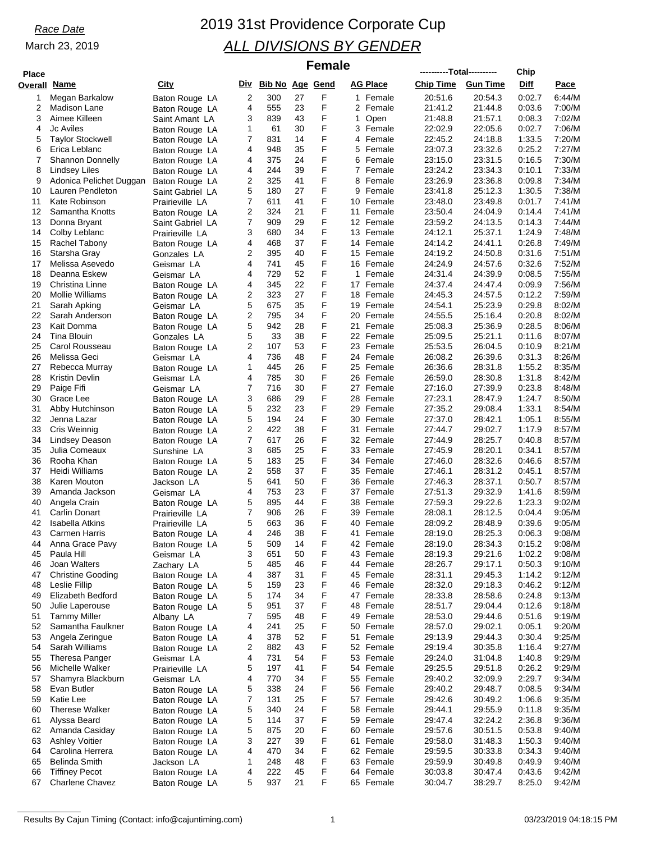| <b>Place</b> |                                          |                                   |        |                     |          | <b>Female</b> |              |                        | ----------Total---------- |                    | Chip             |                  |
|--------------|------------------------------------------|-----------------------------------|--------|---------------------|----------|---------------|--------------|------------------------|---------------------------|--------------------|------------------|------------------|
| Overall      | Name                                     | City                              |        | Div Bib No Age Gend |          |               |              | <b>AG Place</b>        | <b>Chip Time</b>          | <b>Gun Time</b>    | Diff             | <u>Pace</u>      |
| 1            | Megan Barkalow                           | Baton Rouge LA                    | 2      | 300                 | 27       | F             |              | 1 Female               | 20:51.6                   | 20:54.3            | 0:02.7           | 6:44/M           |
| 2            | Madison Lane                             | Baton Rouge LA                    | 4      | 555                 | 23       | F             |              | 2 Female               | 21:41.2                   | 21:44.8            | 0:03.6           | 7:00/M           |
| 3            | Aimee Killeen                            | Saint Amant LA                    | 3      | 839                 | 43       | F             | 1            | Open                   | 21:48.8                   | 21:57.1            | 0:08.3           | 7:02/M           |
| 4            | <b>Jc Aviles</b>                         | Baton Rouge LA                    | 1      | 61                  | 30       | F             | 3            | Female                 | 22:02.9                   | 22:05.6            | 0:02.7           | 7:06/M           |
| 5            | <b>Taylor Stockwell</b>                  | Baton Rouge LA                    | 7      | 831                 | 14       | F<br>F        |              | 4 Female               | 22:45.2                   | 24:18.8            | 1:33.5           | 7:20/M           |
| 6<br>7       | Erica Leblanc<br><b>Shannon Donnelly</b> | Baton Rouge LA                    | 4<br>4 | 948<br>375          | 35<br>24 | F             | 5<br>6       | Female<br>Female       | 23:07.3<br>23:15.0        | 23:32.6<br>23:31.5 | 0:25.2<br>0:16.5 | 7:27/M<br>7:30/M |
| 8            | Lindsey Liles                            | Baton Rouge LA<br>Baton Rouge LA  | 4      | 244                 | 39       | F             |              | 7 Female               | 23:24.2                   | 23:34.3            | 0:10.1           | 7:33/M           |
| 9            | Adonica Pelichet Duggan                  | Baton Rouge LA                    | 2      | 325                 | 41       | F             | 8            | Female                 | 23:26.9                   | 23:36.8            | 0:09.8           | 7:34/M           |
| 10           | Lauren Pendleton                         | Saint Gabriel LA                  | 5      | 180                 | 27       | F             | 9            | Female                 | 23:41.8                   | 25:12.3            | 1:30.5           | 7:38/M           |
| 11           | Kate Robinson                            | Prairieville LA                   | 7      | 611                 | 41       | F             | 10           | Female                 | 23:48.0                   | 23:49.8            | 0:01.7           | 7:41/M           |
| 12           | Samantha Knotts                          | Baton Rouge LA                    | 2      | 324                 | 21       | F             | 11           | Female                 | 23:50.4                   | 24:04.9            | 0:14.4           | 7:41/M           |
| 13           | Donna Bryant                             | Saint Gabriel LA                  | 7      | 909                 | 29       | F             |              | 12 Female              | 23:59.2                   | 24:13.5            | 0:14.3           | 7:44/M           |
| 14           | Colby Leblanc                            | Prairieville LA                   | 3      | 680                 | 34<br>37 | F<br>F        | 13           | Female                 | 24:12.1                   | 25:37.1            | 1:24.9           | 7:48/M           |
| 15<br>16     | Rachel Tabony<br>Starsha Gray            | Baton Rouge LA<br>Gonzales LA     | 4<br>2 | 468<br>395          | 40       | F             |              | 14 Female<br>15 Female | 24:14.2<br>24:19.2        | 24:41.1<br>24:50.8 | 0:26.8<br>0:31.6 | 7:49/M<br>7:51/M |
| 17           | Melissa Asevedo                          | Geismar LA                        | 4      | 741                 | 45       | F             | 16           | Female                 | 24:24.9                   | 24:57.6            | 0:32.6           | 7:52/M           |
| 18           | Deanna Eskew                             | Geismar LA                        | 4      | 729                 | 52       | F             | $\mathbf{1}$ | Female                 | 24:31.4                   | 24:39.9            | 0:08.5           | 7:55/M           |
| 19           | Christina Linne                          | Baton Rouge LA                    | 4      | 345                 | 22       | F             |              | 17 Female              | 24:37.4                   | 24:47.4            | 0:09.9           | 7:56/M           |
| 20           | <b>Mollie Williams</b>                   | Baton Rouge LA                    | 2      | 323                 | 27       | F             | 18           | Female                 | 24:45.3                   | 24:57.5            | 0:12.2           | 7:59/M           |
| 21           | Sarah Apking                             | Geismar LA                        | 5      | 675                 | 35       | F             | 19           | Female                 | 24.54.1                   | 25:23.9            | 0:29.8           | 8:02/M           |
| 22           | Sarah Anderson                           | Baton Rouge LA                    | 2      | 795                 | 34       | F             | 20           | Female                 | 24:55.5                   | 25:16.4            | 0:20.8           | 8:02/M           |
| 23           | Kait Domma                               | Baton Rouge LA                    | 5      | 942                 | 28       | F             | 21           | Female                 | 25:08.3                   | 25:36.9            | 0:28.5           | 8:06/M           |
| 24<br>25     | Tina Blouin<br>Carol Rousseau            | Gonzales LA                       | 5<br>2 | 33<br>107           | 38<br>53 | F<br>F        | 23           | 22 Female<br>Female    | 25:09.5<br>25:53.5        | 25:21.1<br>26:04.5 | 0:11.6<br>0:10.9 | 8:07/M<br>8:21/M |
| 26           | Melissa Geci                             | Baton Rouge LA<br>Geismar LA      | 4      | 736                 | 48       | F             |              | 24 Female              | 26:08.2                   | 26:39.6            | 0:31.3           | 8:26/M           |
| 27           | Rebecca Murray                           | Baton Rouge LA                    | 1      | 445                 | 26       | F             | 25           | Female                 | 26:36.6                   | 28:31.8            | 1:55.2           | 8:35/M           |
| 28           | Kristin Devlin                           | Geismar LA                        | 4      | 785                 | 30       | F             | 26           | Female                 | 26:59.0                   | 28:30.8            | 1:31.8           | 8:42/M           |
| 29           | Paige Fifi                               | Geismar LA                        | 7      | 716                 | 30       | F             |              | 27 Female              | 27:16.0                   | 27:39.9            | 0.23.8           | 8:48/M           |
| 30           | Grace Lee                                | Baton Rouge LA                    | 3      | 686                 | 29       | F             | 28           | Female                 | 27:23.1                   | 28:47.9            | 1:24.7           | 8:50/M           |
| 31           | Abby Hutchinson                          | Baton Rouge LA                    | 5      | 232                 | 23       | F             | 29           | Female                 | 27:35.2                   | 29:08.4            | 1:33.1           | 8:54/M           |
| 32           | Jenna Lazar                              | Baton Rouge LA                    | 5      | 194                 | 24       | F             |              | 30 Female              | 27:37.0                   | 28:42.1            | 1:05.1           | 8:55/M           |
| 33<br>34     | Cris Weinnig<br>Lindsey Deason           | Baton Rouge LA                    | 2<br>7 | 422<br>617          | 38<br>26 | F<br>F        | 31           | Female<br>32 Female    | 27:44.7<br>27:44.9        | 29:02.7<br>28:25.7 | 1:17.9<br>0:40.8 | 8:57/M<br>8:57/M |
| 35           | Julia Comeaux                            | Baton Rouge LA<br>Sunshine LA     | 3      | 685                 | 25       | F             |              | 33 Female              | 27:45.9                   | 28:20.1            | 0:34.1           | 8:57/M           |
| 36           | Rooha Khan                               | Baton Rouge LA                    | 5      | 183                 | 25       | F             | 34           | Female                 | 27:46.0                   | 28:32.6            | 0:46.6           | 8:57/M           |
| 37           | Heidi Williams                           | Baton Rouge LA                    | 2      | 558                 | 37       | F             | 35           | Female                 | 27:46.1                   | 28:31.2            | 0:45.1           | 8:57/M           |
| 38           | Karen Mouton                             | Jackson LA                        | 5      | 641                 | 50       | F             | 36           | Female                 | 27:46.3                   | 28:37.1            | 0:50.7           | 8:57/M           |
| 39           | Amanda Jackson                           | Geismar LA                        | 4      | 753                 | 23       | F             |              | 37 Female              | 27:51.3                   | 29:32.9            | 1:41.6           | 8:59/M           |
| 40           | Angela Crain                             | Baton Rouge LA                    | 5      | 895                 | 44       | F             |              | 38 Female              | 27:59.3                   | 29:22.6            | 1:23.3           | 9:02/M           |
| 41           | <b>Carlin Donart</b>                     | Prairieville LA                   | 7      | 906                 | 26       | F<br>F        | 39           | Female                 | 28:08.1                   | 28:12.5            | 0.04.4           | 9:05/M           |
| 42<br>43     | Isabella Atkins<br><b>Carmen Harris</b>  | Prairieville LA<br>Baton Rouge LA | 5<br>4 | 663<br>246          | 36<br>38 | F             | 40           | Female<br>41 Female    | 28:09.2<br>28:19.0        | 28:48.9<br>28:25.3 | 0:39.6<br>0:06.3 | 9:05/M<br>9:08/M |
| 44           | Anna Grace Pavy                          | Baton Rouge LA                    | 5      | 509                 | 14       | F             |              | 42 Female              | 28:19.0                   | 28:34.3            | 0:15.2           | 9:08/M           |
| 45           | Paula Hill                               | Geismar LA                        | 3      | 651                 | 50       | F             |              | 43 Female              | 28:19.3                   | 29:21.6            | 1:02.2           | 9:08/M           |
| 46           | Joan Walters                             | Zachary LA                        | 5      | 485                 | 46       | F             |              | 44 Female              | 28:26.7                   | 29:17.1            | 0:50.3           | 9:10/M           |
| 47           | <b>Christine Gooding</b>                 | Baton Rouge LA                    | 4      | 387                 | 31       | F             | 45           | Female                 | 28:31.1                   | 29:45.3            | 1:14.2           | 9:12/M           |
| 48           | Leslie Fillip                            | Baton Rouge LA                    | 5      | 159                 | 23       | F             |              | 46 Female              | 28:32.0                   | 29:18.3            | 0:46.2           | 9:12/M           |
| 49           | Elizabeth Bedford                        | Baton Rouge LA                    | 5      | 174                 | 34       | F             | 47           | Female                 | 28:33.8                   | 28:58.6            | 0:24.8           | 9:13/M           |
| 50           | Julie Laperouse                          | Baton Rouge LA                    | 5<br>7 | 951                 | 37<br>48 | F<br>F        | 48<br>49     | Female<br>Female       | 28:51.7                   | 29:04.4            | 0:12.6<br>0:51.6 | 9:18/M<br>9:19/M |
| 51<br>52     | <b>Tammy Miller</b><br>Samantha Faulkner | Albany LA<br>Baton Rouge LA       | 4      | 595<br>241          | 25       | F             | 50           | Female                 | 28:53.0<br>28:57.0        | 29:44.6<br>29:02.1 | 0:05.1           | 9:20/M           |
| 53           | Angela Zeringue                          | Baton Rouge LA                    | 4      | 378                 | 52       | F             | 51           | Female                 | 29:13.9                   | 29:44.3            | 0:30.4           | 9:25/M           |
| 54           | Sarah Williams                           | Baton Rouge LA                    | 2      | 882                 | 43       | F             |              | 52 Female              | 29:19.4                   | 30:35.8            | 1:16.4           | 9:27/M           |
| 55           | Theresa Panger                           | Geismar LA                        | 4      | 731                 | 54       | F             | 53           | Female                 | 29:24.0                   | 31:04.8            | 1:40.8           | 9:29/M           |
| 56           | Michelle Walker                          | Prairieville LA                   | 5      | 197                 | 41       | F             |              | 54 Female              | 29:25.5                   | 29:51.8            | 0:26.2           | 9:29/M           |
| 57           | Shamyra Blackburn                        | Geismar LA                        | 4      | 770                 | 34       | F             | 55           | Female                 | 29:40.2                   | 32:09.9            | 2:29.7           | 9:34/M           |
| 58           | Evan Butler                              | Baton Rouge LA                    | 5      | 338                 | 24       | F             |              | 56 Female              | 29:40.2                   | 29:48.7            | 0:08.5           | 9:34/M           |
| 59           | Katie Lee<br>Therese Walker              | Baton Rouge LA                    | 7      | 131<br>340          | 25<br>24 | F<br>F        |              | 57 Female              | 29:42.6<br>29:44.1        | 30:49.2<br>29:55.9 | 1:06.6<br>0:11.8 | 9:35/M<br>9:35/M |
| 60<br>61     | Alyssa Beard                             | Baton Rouge LA<br>Baton Rouge LA  | 5<br>5 | 114                 | 37       | F             | 58           | Female<br>59 Female    | 29:47.4                   | 32:24.2            | 2:36.8           | 9:36/M           |
| 62           | Amanda Casiday                           | Baton Rouge LA                    | 5      | 875                 | 20       | F             | 60           | Female                 | 29:57.6                   | 30:51.5            | 0:53.8           | 9:40/M           |
| 63           | <b>Ashley Voitier</b>                    | Baton Rouge LA                    | 3      | 227                 | 39       | F             | 61           | Female                 | 29:58.0                   | 31:48.3            | 1:50.3           | 9:40/M           |
| 64           | Carolina Herrera                         | Baton Rouge LA                    | 4      | 470                 | 34       | F             |              | 62 Female              | 29:59.5                   | 30:33.8            | 0:34.3           | 9:40/M           |
| 65           | <b>Belinda Smith</b>                     | Jackson LA                        | 1      | 248                 | 48       | F             | 63           | Female                 | 29:59.9                   | 30:49.8            | 0:49.9           | 9:40/M           |
| 66           | <b>Tiffiney Pecot</b>                    | Baton Rouge LA                    | 4      | 222                 | 45       | F             |              | 64 Female              | 30:03.8                   | 30.47.4            | 0.43.6           | 9:42/M           |
| 67           | Charlene Chavez                          | Baton Rouge LA                    | 5      | 937                 | 21       | F             |              | 65 Female              | 30:04.7                   | 38:29.7            | 8:25.0           | 9:42/M           |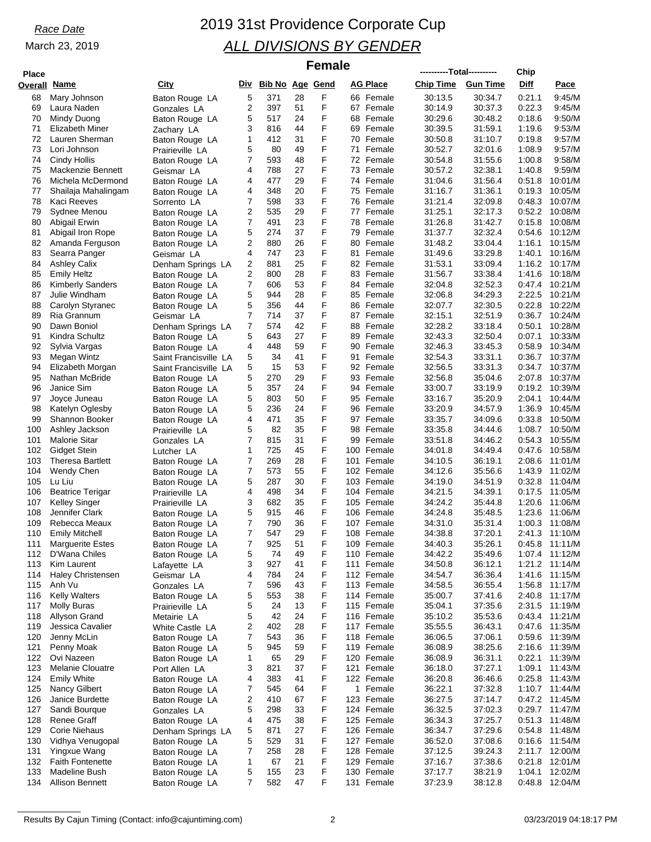## *Race Date* 2019 31st Providence Corporate Cup *ALL DIVISIONS BY GENDER*

### $F$ emale

| <b>Place</b>        |                                        |                                   |                |                        |          | Guialc |    |                          | ----------Total---------- |                    | Chip             |                           |
|---------------------|----------------------------------------|-----------------------------------|----------------|------------------------|----------|--------|----|--------------------------|---------------------------|--------------------|------------------|---------------------------|
| <b>Overall Name</b> |                                        | City                              | Div            | <b>Bib No Age Gend</b> |          |        |    | <b>AG Place</b>          | <b>Chip Time</b>          | <b>Gun Time</b>    | Diff             | Pace                      |
| 68                  | Mary Johnson                           | Baton Rouge LA                    | 5              | 371                    | 28       | F      |    | 66 Female                | 30:13.5                   | 30:34.7            | 0:21.1           | 9:45/M                    |
| 69                  | Laura Naden                            | Gonzales LA                       | 2              | 397                    | 51       | F      |    | 67 Female                | 30:14.9                   | 30:37.3            | 0:22.3           | 9:45/M                    |
| 70                  | Mindy Duong                            | Baton Rouge LA                    | 5              | 517                    | 24       | F      |    | 68 Female                | 30:29.6                   | 30:48.2            | 0:18.6           | 9:50/M                    |
| 71                  | Elizabeth Miner                        | Zachary LA                        | 3              | 816                    | 44       | F      |    | 69 Female                | 30:39.5                   | 31:59.1            | 1:19.6           | 9:53/M                    |
| 72                  | Lauren Sherman                         | Baton Rouge LA                    | 1              | 412                    | 31       | F      |    | 70 Female                | 30:50.8                   | 31:10.7            | 0:19.8           | 9:57/M                    |
| 73                  | Lori Johnson                           | Prairieville LA                   | 5              | 80                     | 49       | F      | 71 | Female                   | 30:52.7                   | 32:01.6            | 1:08.9           | 9:57/M                    |
| 74                  | Cindy Hollis                           | Baton Rouge LA                    | 7              | 593                    | 48       | F      |    | 72 Female                | 30:54.8                   | 31:55.6            | 1:00.8           | 9:58/M                    |
| 75                  | Mackenzie Bennett                      | Geismar LA                        | 4              | 788                    | 27       | F      |    | 73 Female                | 30:57.2                   | 32:38.1            | 1:40.8           | 9:59/M                    |
| 76                  | Michela McDermond                      | Baton Rouge LA                    | 4              | 477                    | 29       | F      |    | 74 Female                | 31:04.6                   | 31:56.4            | 0:51.8           | 10:01/M                   |
| 77                  | Shailaja Mahalingam                    | Baton Rouge LA                    | 4              | 348                    | 20       | F      |    | 75 Female                | 31:16.7                   | 31:36.1            | 0:19.3           | 10:05/M                   |
| 78                  | Kaci Reeves                            | Sorrento LA                       | 7              | 598                    | 33       | F      |    | 76 Female                | 31:21.4                   | 32:09.8            | 0.48.3           | 10:07/M                   |
| 79                  | Sydnee Menou                           | Baton Rouge LA                    | 2              | 535                    | 29       | F      |    | 77 Female                | 31:25.1                   | 32:17.3            | 0.52.2           | 10:08/M                   |
| 80                  | Abigail Erwin                          | Baton Rouge LA                    | 7              | 491                    | 23       | F      |    | 78 Female                | 31:26.8                   | 31:42.7            | 0:15.8           | 10:08/M                   |
| 81                  | Abigail Iron Rope                      | Baton Rouge LA                    | 5<br>2         | 274<br>880             | 37<br>26 | F<br>F | 79 | Female<br>80 Female      | 31:37.7                   | 32:32.4<br>33:04.4 | 0.54.6           | 10:12/M<br>10:15/M        |
| 82<br>83            | Amanda Ferguson<br>Searra Panger       | Baton Rouge LA                    | 4              | 747                    | 23       | F      |    | 81 Female                | 31:48.2<br>31:49.6        | 33.29.8            | 1:16.1<br>1:40.1 | 10:16/M                   |
| 84                  | <b>Ashley Calix</b>                    | Geismar LA<br>Denham Springs LA   | 2              | 881                    | 25       | F      |    | 82 Female                | 31:53.1                   | 33:09.4            | 1:16.2           | 10:17/M                   |
| 85                  | <b>Emily Heltz</b>                     | Baton Rouge LA                    | $\overline{2}$ | 800                    | 28       | F      |    | 83 Female                | 31:56.7                   | 33.38.4            |                  | 1:41.6 10:18/M            |
| 86                  | <b>Kimberly Sanders</b>                | Baton Rouge LA                    | 7              | 606                    | 53       | F      |    | 84 Female                | 32:04.8                   | 32:52.3            | 0:47.4           | 10:21/M                   |
| 87                  | Julie Windham                          | Baton Rouge LA                    | 5              | 944                    | 28       | F      |    | 85 Female                | 32:06.8                   | 34.29.3            | 2:22.5           | 10:21/M                   |
| 88                  | Carolyn Styranec                       | Baton Rouge LA                    | 5              | 356                    | 44       | F      |    | 86 Female                | 32:07.7                   | 32:30.5            | 0:22.8           | 10:22/M                   |
| 89                  | Ria Grannum                            | Geismar LA                        | 7              | 714                    | 37       | F      |    | 87 Female                | 32:15.1                   | 32:51.9            | 0.36.7           | 10:24/M                   |
| 90                  | Dawn Boniol                            | Denham Springs LA                 | 7              | 574                    | 42       | F      |    | 88 Female                | 32:28.2                   | 33:18.4            | 0:50.1           | 10:28/M                   |
| 91                  | Kindra Schultz                         | Baton Rouge LA                    | 5              | 643                    | 27       | F      |    | 89 Female                | 32:43.3                   | 32:50.4            | 0:07.1           | 10:33/M                   |
| 92                  | Sylvia Vargas                          | Baton Rouge LA                    | 4              | 448                    | 59       | F      |    | 90 Female                | 32:46.3                   | 33:45.3            | 0.58.9           | 10:34/M                   |
| 93                  | Megan Wintz                            | Saint Francisville LA             | 5              | 34                     | 41       | F      |    | 91 Female                | 32:54.3                   | 33:31.1            |                  | 0:36.7 10:37/M            |
| 94                  | Elizabeth Morgan                       | Saint Francisville LA             | 5              | 15                     | 53       | F      |    | 92 Female                | 32:56.5                   | 33:31.3            |                  | 0:34.7 10:37/M            |
| 95                  | Nathan McBride                         | Baton Rouge LA                    | 5              | 270                    | 29       | F      |    | 93 Female                | 32:56.8                   | 35:04.6            | 2:07.8           | 10:37/M                   |
| 96                  | Janice Sim                             | Baton Rouge LA                    | 5              | 357                    | 24       | F      |    | 94 Female                | 33:00.7                   | 33:19.9            |                  | 0:19.2 10:39/M            |
| 97                  | Joyce Juneau                           | Baton Rouge LA                    | 5              | 803                    | 50       | F      |    | 95 Female                | 33:16.7                   | 35:20.9            | 2:04.1           | 10:44/M                   |
| 98                  | Katelyn Oglesby                        | Baton Rouge LA                    | 5              | 236                    | 24       | F      |    | 96 Female                | 33:20.9                   | 34:57.9            | 1:36.9           | 10:45/M                   |
| 99                  | Shannon Booker                         | Baton Rouge LA                    | 4              | 471                    | 35       | F      |    | 97 Female                | 33:35.7                   | 34:09.6            | 0:33.8           | 10:50/M                   |
| 100<br>101          | Ashley Jackson<br><b>Malorie Sitar</b> | Prairieville LA                   | 5<br>7         | 82<br>815              | 35<br>31 | F<br>F |    | 98 Female<br>99 Female   | 33:35.8                   | 34:44.6<br>34:46.2 | 1:08.7<br>0.54.3 | 10:50/M<br>10:55/M        |
| 102                 | Gidget Stein                           | Gonzales LA                       | 1              | 725                    | 45       | F      |    | 100 Female               | 33:51.8<br>34:01.8        | 34:49.4            | 0.47.6           | 10:58/M                   |
| 103                 | <b>Theresa Bartlett</b>                | Lutcher LA<br>Baton Rouge LA      | $\overline{7}$ | 269                    | 28       | F      |    | 101 Female               | 34:10.5                   | 36:19.1            | 2:08.6           | 11:01/M                   |
| 104                 | Wendy Chen                             | Baton Rouge LA                    | 7              | 573                    | 55       | F      |    | 102 Female               | 34:12.6                   | 35:56.6            | 1:43.9           | 11:02/M                   |
| 105                 | Lu Liu                                 | Baton Rouge LA                    | 5              | 287                    | 30       | F      |    | 103 Female               | 34:19.0                   | 34.51.9            | 0.32.8           | 11:04/M                   |
| 106                 | <b>Beatrice Terigar</b>                | Prairieville LA                   | 4              | 498                    | 34       | F      |    | 104 Female               | 34:21.5                   | 34:39.1            | 0:17.5           | 11:05/M                   |
| 107                 | Kelley Singer                          | Prairieville LA                   | 3              | 682                    | 35       | F      |    | 105 Female               | 34:24.2                   | 35:44.8            | 1:20.6           | 11:06/M                   |
| 108                 | Jennifer Clark                         | Baton Rouge LA                    | 5              | 915                    | 46       | F      |    | 106 Female               | 34:24.8                   | 35:48.5            | 1:23.6           | 11:06/M                   |
| 109                 | Rebecca Meaux                          | Baton Rouge LA                    | 7              | 790                    | 36       | F      |    | 107 Female               | 34:31.0                   | 35:31.4            | 1:00.3           | 11:08/M                   |
| 110                 | <b>Emily Mitchell</b>                  | Baton Rouge LA                    | 7              | 547                    | 29       | F      |    | 108 Female               | 34:38.8                   | 37:20.1            |                  | 2:41.3 11:10/M            |
| 111                 | <b>Marguerite Estes</b>                | Baton Rouge LA                    | $\overline{7}$ | 925                    | 51       | F      |    | 109 Female               | 34:40.3                   | 35:26.1            |                  | 0:45.8 11:11/M            |
| 112                 | D'Wana Chiles                          | Baton Rouge LA                    | 5              | 74                     | 49       | F      |    | 110 Female               | 34:42.2                   | 35:49.6            |                  | 1:07.4 11:12/M            |
| 113                 | Kim Laurent                            | Lafayette LA                      | 3              | 927                    | 41       | F      |    | 111 Female               | 34:50.8                   | 36:12.1            |                  | 1:21.2 11:14/M            |
| 114                 | <b>Haley Christensen</b>               | Geismar LA                        | 4              | 784                    | 24       | F      |    | 112 Female               | 34:54.7                   | 36:36.4            |                  | 1:41.6 11:15/M            |
| 115                 | Anh Vu                                 | Gonzales LA                       | 7              | 596                    | 43       | F      |    | 113 Female               | 34:58.5                   | 36:55.4            | 1:56.8           | 11:17/M                   |
| 116                 | <b>Kelly Walters</b>                   | Baton Rouge LA                    | 5              | 553                    | 38       | F      |    | 114 Female               | 35:00.7                   | 37:41.6            | 2:40.8           | 11:17/M                   |
| 117                 | Molly Buras                            | Prairieville LA                   | 5              | 24<br>42               | 13       | F      |    | 115 Female               | 35:04.1                   | 37:35.6            |                  | 2:31.5 11:19/M            |
| 118<br>119          | Allyson Grand<br>Jessica Cavalier      | Metairie LA                       | 5<br>2         | 402                    | 24<br>28 | F<br>F |    | 116 Female<br>117 Female | 35:10.2<br>35:55.5        | 35:53.6<br>36:43.1 | 0.47.6           | 0:43.4 11:21/M<br>11:35/M |
| 120                 | Jenny McLin                            | White Castle LA<br>Baton Rouge LA | 7              | 543                    | 36       | F      |    | 118 Female               | 36:06.5                   | 37:06.1            |                  | 0:59.6 11:39/M            |
| 121                 | Penny Moak                             | Baton Rouge LA                    | 5              | 945                    | 59       | F      |    | 119 Female               | 36:08.9                   | 38:25.6            |                  | 2:16.6 11:39/M            |
| 122                 | Ovi Nazeen                             | Baton Rouge LA                    | 1              | 65                     | 29       | F      |    | 120 Female               | 36:08.9                   | 36:31.1            | 0:22.1           | 11:39/M                   |
| 123                 | Melanie Clouatre                       | Port Allen LA                     | 3              | 821                    | 37       | F      |    | 121 Female               | 36:18.0                   | 37:27.1            | 1:09.1           | 11:43/M                   |
| 124                 | <b>Emily White</b>                     | Baton Rouge LA                    | 4              | 383                    | 41       | F      |    | 122 Female               | 36:20.8                   | 36:46.6            | 0:25.8           | 11:43/M                   |
| 125                 | Nancy Gilbert                          | Baton Rouge LA                    | 7              | 545                    | 64       | F      |    | 1 Female                 | 36:22.1                   | 37:32.8            |                  | $1:10.7$ 11:44/M          |
| 126                 | Janice Burdette                        | Baton Rouge LA                    | 2              | 410                    | 67       | F      |    | 123 Female               | 36:27.5                   | 37:14.7            |                  | 0:47.2 11:45/M            |
| 127                 | Sandi Bourque                          | Gonzales LA                       | 5              | 298                    | 33       | F      |    | 124 Female               | 36:32.5                   | 37:02.3            |                  | $0:29.7$ 11:47/M          |
| 128                 | Renee Graff                            | Baton Rouge LA                    | 4              | 475                    | 38       | F      |    | 125 Female               | 36:34.3                   | 37:25.7            | 0:51.3           | 11:48/M                   |
| 129                 | Corie Niehaus                          | Denham Springs LA                 | 5              | 871                    | 27       | F      |    | 126 Female               | 36:34.7                   | 37:29.6            | 0.54.8           | 11:48/M                   |
| 130                 | Vidhya Venugopal                       | Baton Rouge LA                    | 5              | 529                    | 31       | F      |    | 127 Female               | 36:52.0                   | 37:08.6            |                  | $0:16.6$ 11:54/M          |
| 131                 | Yingxue Wang                           | Baton Rouge LA                    | 7              | 258                    | 28       | F      |    | 128 Female               | 37:12.5                   | 39:24.3            |                  | 2:11.7 12:00/M            |
| 132                 | <b>Faith Fontenette</b>                | Baton Rouge LA                    | 1              | 67                     | 21       | F      |    | 129 Female               | 37:16.7                   | 37:38.6            | 0:21.8           | 12:01/M                   |
| 133                 | Madeline Bush                          | Baton Rouge LA                    | 5              | 155                    | 23       | F      |    | 130 Female               | 37:17.7                   | 38:21.9            | 1:04.1           | 12:02/M                   |
| 134                 | <b>Allison Bennett</b>                 | Baton Rouge LA                    | 7              | 582                    | 47       | F      |    | 131 Female               | 37:23.9                   | 38:12.8            |                  | 0:48.8 12:04/M            |

Results By Cajun Timing (Contact: info@cajuntiming.com) 2 2 contact: info@cajuntiming.com 2 03/23/2019 04:18:17 PM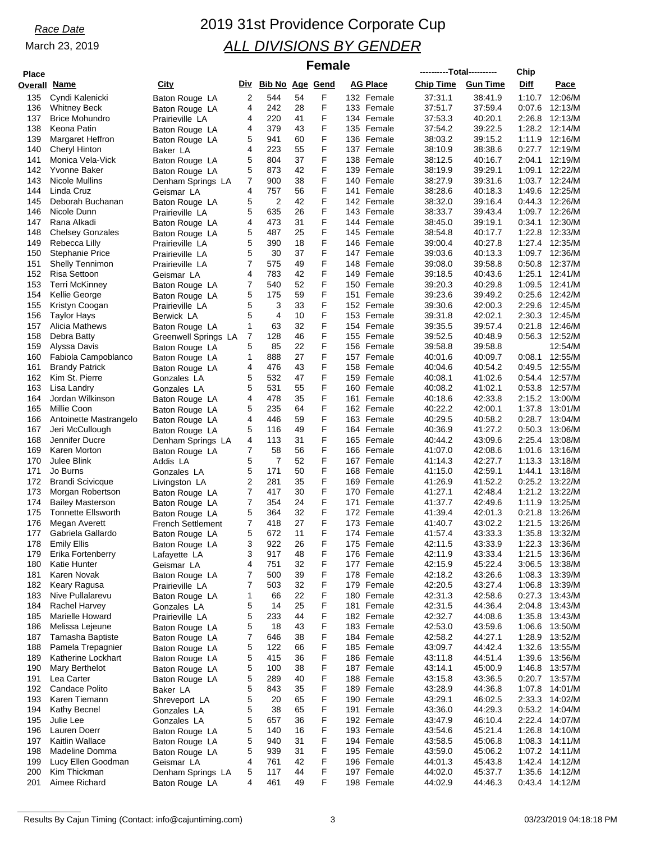## *Race Date* 2019 31st Providence Corporate Cup *ALL DIVISIONS BY GENDER*

### $F$ emale

| <b>Place</b> |                           |                      |   |                     |          |   |                          | ----------Total---------- |                    | Chip             |                           |
|--------------|---------------------------|----------------------|---|---------------------|----------|---|--------------------------|---------------------------|--------------------|------------------|---------------------------|
| Overall Name |                           | <b>City</b>          |   | Div Bib No Age Gend |          |   | <b>AG Place</b>          | <b>Chip Time</b>          | <b>Gun Time</b>    | Diff             | Pace                      |
| 135          | Cyndi Kalenicki           | Baton Rouge LA       | 2 | 544                 | 54       | F | 132 Female               | 37:31.1                   | 38:41.9            | 1:10.7           | 12:06/M                   |
| 136          | <b>Whitney Beck</b>       | Baton Rouge LA       | 4 | 242                 | 28       | F | 133 Female               | 37:51.7                   | 37:59.4            | 0.07.6           | 12:13/M                   |
| 137          | <b>Brice Mohundro</b>     | Prairieville LA      | 4 | 220                 | 41       | F | 134 Female               | 37:53.3                   | 40:20.1            | 2:26.8           | 12:13/M                   |
| 138          | Keona Patin               |                      | 4 | 379                 | 43       | F | 135 Female               | 37:54.2                   | 39:22.5            |                  | 1:28.2 12:14/M            |
| 139          | Margaret Heffron          | Baton Rouge LA       | 5 | 941                 | 60       | F | 136 Female               | 38:03.2                   | 39:15.2            | 1:11.9           | 12:16/M                   |
| 140          | Cheryl Hinton             | Baton Rouge LA       | 4 | 223                 | 55       | F | 137 Female               | 38:10.9                   | 38:38.6            | 0.27.7           | 12:19/M                   |
| 141          |                           | Baker LA             |   | 804                 | 37       | F | 138 Female               |                           | 40:16.7            | 2:04.1           | 12:19/M                   |
|              | Monica Vela-Vick          | Baton Rouge LA       | 5 | 873                 | 42       | F |                          | 38:12.5                   | 39:29.1            |                  | 12:22/M                   |
| 142<br>143   | Yvonne Baker              | Baton Rouge LA       | 5 | 900                 | 38       | F | 139 Female<br>140 Female | 38:19.9<br>38:27.9        | 39:31.6            | 1:09.1<br>1:03.7 | 12:24/M                   |
|              | Nicole Mullins            | Denham Springs LA    | 7 | 757                 | 56       | F | 141 Female               |                           | 40:18.3            | 1:49.6           | 12:25/M                   |
| 144          | Linda Cruz                | Geismar LA           | 4 | $\overline{2}$      | 42       | F | 142 Female               | 38:28.6                   | 39:16.4            |                  | 12:26/M                   |
| 145          | Deborah Buchanan          | Baton Rouge LA       | 5 |                     |          | F |                          | 38:32.0                   |                    | 0.44.3           |                           |
| 146          | Nicole Dunn               | Prairieville LA      | 5 | 635<br>473          | 26<br>31 | F | 143 Female               | 38:33.7                   | 39:43.4<br>39:19.1 |                  | 1:09.7 12:26/M<br>12:30/M |
| 147          | Rana Alkadi               | Baton Rouge LA       | 4 |                     |          | F | 144 Female               | 38:45.0                   |                    | 0:34.1           |                           |
| 148          | <b>Chelsey Gonzales</b>   | Baton Rouge LA       | 5 | 487                 | 25       | F | 145 Female               | 38:54.8                   | 40:17.7            | 1:22.8           | 12:33/M                   |
| 149          | Rebecca Lilly             | Prairieville LA      | 5 | 390                 | 18       | F | 146 Female               | 39:00.4                   | 40:27.8            |                  | 1:27.4 12:35/M            |
| 150          | <b>Stephanie Price</b>    | Prairieville LA      | 5 | 30                  | 37       |   | 147 Female               | 39:03.6                   | 40:13.3            | 1:09.7           | 12:36/M                   |
| 151          | <b>Shelly Tennimon</b>    | Prairieville LA      | 7 | 575                 | 49       | F | 148 Female               | 39:08.0                   | 39.58.8            | 0.50.8           | 12:37/M                   |
| 152          | Risa Settoon              | Geismar LA           | 4 | 783                 | 42       | F | 149 Female               | 39:18.5                   | 40:43.6            | 1:25.1           | 12:41/M                   |
| 153          | <b>Terri McKinney</b>     | Baton Rouge LA       | 7 | 540                 | 52       | F | 150 Female               | 39:20.3                   | 40:29.8            | 1:09.5           | 12:41/M                   |
| 154          | Kellie George             | Baton Rouge LA       | 5 | 175                 | 59       | F | 151 Female               | 39:23.6                   | 39:49.2            | 0.25.6           | 12:42/M                   |
| 155          | Kristyn Coogan            | Prairieville LA      | 5 | 3                   | 33       | F | 152 Female               | 39:30.6                   | 42:00.3            | 2:29.6           | 12:45/M                   |
| 156          | <b>Taylor Hays</b>        | Berwick LA           | 5 | $\overline{4}$      | 10       | F | 153 Female               | 39:31.8                   | 42:02.1            | 2:30.3           | 12:45/M                   |
| 157          | Alicia Mathews            | Baton Rouge LA       | 1 | 63                  | 32       | F | 154 Female               | 39:35.5                   | 39:57.4            | 0:21.8           | 12:46/M                   |
| 158          | Debra Batty               | Greenwell Springs LA | 7 | 128                 | 46       | F | 155 Female               | 39:52.5                   | 40:48.9            | 0:56.3           | 12:52/M                   |
| 159          | Alyssa Davis              | Baton Rouge LA       | 5 | 85                  | 22       | F | 156 Female               | 39:58.8                   | 39.58.8            |                  | 12:54/M                   |
| 160          | Fabiola Campoblanco       | Baton Rouge LA       | 1 | 888                 | 27       | F | 157 Female               | 40:01.6                   | 40:09.7            | 0.08.1           | 12:55/M                   |
| 161          | <b>Brandy Patrick</b>     | Baton Rouge LA       | 4 | 476                 | 43       | F | 158 Female               | 40:04.6                   | 40:54.2            | 0:49.5           | 12:55/M                   |
| 162          | Kim St. Pierre            | Gonzales LA          | 5 | 532                 | 47       | F | 159 Female               | 40:08.1                   | 41:02.6            |                  | 0:54.4 12:57/M            |
| 163          | Lisa Landry               | Gonzales LA          | 5 | 531                 | 55       | F | 160 Female               | 40:08.2                   | 41:02.1            | 0.53.8           | 12:57/M                   |
| 164          | Jordan Wilkinson          | Baton Rouge LA       | 4 | 478                 | 35       | F | 161 Female               | 40:18.6                   | 42:33.8            | 2:15.2           | 13:00/M                   |
| 165          | Millie Coon               | Baton Rouge LA       | 5 | 235                 | 64       | F | 162 Female               | 40:22.2                   | 42:00.1            | 1:37.8           | 13:01/M                   |
| 166          | Antoinette Mastrangelo    | Baton Rouge LA       | 4 | 446                 | 59       | F | 163 Female               | 40:29.5                   | 40:58.2            | 0:28.7           | 13:04/M                   |
| 167          | Jeri McCullough           | Baton Rouge LA       | 5 | 116                 | 49       | F | 164 Female               | 40:36.9                   | 41:27.2            | 0:50.3           | 13:06/M                   |
| 168          | Jennifer Ducre            | Denham Springs LA    | 4 | 113                 | 31       | F | 165 Female               | 40:44.2                   | 43.09.6            | 2:25.4           | 13:08/M                   |
| 169          | Karen Morton              | Baton Rouge LA       | 7 | 58                  | 56       | F | 166 Female               | 41:07.0                   | 42:08.6            | 1:01.6           | 13:16/M                   |
| 170          | Julee Blink               | Addis LA             | 5 | 7                   | 52       | F | 167 Female               | 41:14.3                   | 42:27.7            | 1:13.3           | 13:18/M                   |
| 171          | Jo Burns                  | Gonzales LA          | 5 | 171                 | 50       | F | 168 Female               | 41:15.0                   | 42:59.1            | 1:44.1           | 13:18/M                   |
| 172          | <b>Brandi Scivicque</b>   | Livingston LA        | 2 | 281                 | 35       | F | 169 Female               | 41:26.9                   | 41:52.2            | 0:25.2           | 13:22/M                   |
| 173          | Morgan Robertson          | Baton Rouge LA       | 7 | 417                 | 30       | F | 170 Female               | 41:27.1                   | 42:48.4            | 1:21.2           | 13:22/M                   |
| 174          | <b>Bailey Masterson</b>   | Baton Rouge LA       | 7 | 354                 | 24       | F | 171 Female               | 41:37.7                   | 42:49.6            | 1:11.9           | 13:25/M                   |
| 175          | <b>Tonnette Ellsworth</b> | Baton Rouge LA       | 5 | 364                 | 32       | F | 172 Female               | 41:39.4                   | 42:01.3            | 0:21.8           | 13:26/M                   |
| 176          | Megan Averett             | French Settlement    | 7 | 418                 | 27       | F | 173 Female               | 41:40.7                   | 43:02.2            | 1:21.5           | 13:26/M                   |
| 177          | Gabriela Gallardo         | Baton Rouge LA       | 5 | 672                 | 11       | F | 174 Female               | 41:57.4                   | 43.33.3            | 1:35.8           | 13:32/M                   |
| 178          | <b>Emily Ellis</b>        | Baton Rouge LA       | 3 | 922                 | 26       | F | 175 Female               | 42:11.5                   | 43:33.9            |                  | 1:22.3 13:36/M            |
| 179          | Erika Fortenberry         | Lafayette LA         | 3 | 917                 | 48       | F | 176 Female               | 42:11.9                   | 43:33.4            |                  | 1:21.5 13:36/M            |
| 180          | Katie Hunter              | Geismar LA           | 4 | 751                 | 32       | F | 177 Female               | 42:15.9                   | 45:22.4            | 3:06.5           | 13:38/M                   |
| 181          | Karen Novak               | Baton Rouge LA       | 7 | 500                 | 39       | F | 178 Female               | 42:18.2                   | 43:26.6            |                  | 1:08.3 13:39/M            |
| 182          | Keary Ragusa              | Prairieville LA      | 7 | 503                 | 32       | F | 179 Female               | 42:20.5                   | 43:27.4            |                  | 1:06.8 13:39/M            |
| 183          | Nive Pullalarevu          | Baton Rouge LA       | 1 | 66                  | 22       | F | 180 Female               | 42:31.3                   | 42:58.6            |                  | 0:27.3 13:43/M            |
| 184          | Rachel Harvey             | Gonzales LA          | 5 | 14                  | 25       | F | 181 Female               | 42:31.5                   | 44:36.4            | 2:04.8           | 13:43/M                   |
| 185          | Marielle Howard           | Prairieville LA      | 5 | 233                 | 44       | F | 182 Female               | 42:32.7                   | 44:08.6            |                  | 1:35.8 13:43/M            |
| 186          | Melissa Lejeune           | Baton Rouge LA       | 5 | 18                  | 43       | F | 183 Female               | 42:53.0                   | 43:59.6            |                  | 1:06.6 13:50/M            |
| 187          | Tamasha Baptiste          | Baton Rouge LA       | 7 | 646                 | 38       | F | 184 Female               | 42:58.2                   | 44:27.1            |                  | 1:28.9 13:52/M            |
| 188          | Pamela Trepagnier         | Baton Rouge LA       | 5 | 122                 | 66       | F | 185 Female               | 43:09.7                   | 44:42.4            | 1:32.6           | 13:55/M                   |
| 189          | Katherine Lockhart        | Baton Rouge LA       | 5 | 415                 | 36       | F | 186 Female               | 43:11.8                   | 44:51.4            |                  | 1:39.6 13:56/M            |
| 190          | Mary Berthelot            | Baton Rouge LA       | 5 | 100                 | 38       | F | 187 Female               | 43:14.1                   | 45:00.9            |                  | 1:46.8 13:57/M            |
| 191          | Lea Carter                | Baton Rouge LA       | 5 | 289                 | 40       | F | 188 Female               | 43:15.8                   | 43:36.5            |                  | 0:20.7 13:57/M            |
| 192          | Candace Polito            | Baker LA             | 5 | 843                 | 35       | F | 189 Female               | 43:28.9                   | 44:36.8            | 1:07.8           | 14:01/M                   |
| 193          | Karen Tiemann             | Shreveport LA        | 5 | 20                  | 65       | F | 190 Female               | 43:29.1                   | 46:02.5            |                  | 2:33.3 14:02/M            |
| 194          | Kathy Becnel              | Gonzales LA          | 5 | 38                  | 65       | F | 191 Female               | 43:36.0                   | 44.29.3            |                  | 0:53.2 14:04/M            |
| 195          | Julie Lee                 | Gonzales LA          | 5 | 657                 | 36       | F | 192 Female               | 43:47.9                   | 46:10.4            |                  | 2:22.4 14:07/M            |
| 196          | Lauren Doerr              | Baton Rouge LA       | 5 | 140                 | 16       | F | 193 Female               | 43:54.6                   | 45:21.4            |                  | 1:26.8 14:10/M            |
| 197          | Kaitlin Wallace           | Baton Rouge LA       | 5 | 940                 | 31       | F | 194 Female               | 43:58.5                   | 45:06.8            |                  | 1:08.3 14:11/M            |
| 198          | Madeline Domma            | Baton Rouge LA       | 5 | 939                 | 31       | F | 195 Female               | 43:59.0                   | 45:06.2            |                  | 1:07.2 14:11/M            |
| 199          | Lucy Ellen Goodman        | Geismar LA           | 4 | 761                 | 42       | F | 196 Female               | 44:01.3                   | 45:43.8            |                  | 1:42.4 14:12/M            |
| 200          | Kim Thickman              | Denham Springs LA    | 5 | 117                 | 44       | F | 197 Female               | 44:02.0                   | 45:37.7            |                  | 1:35.6 14:12/M            |
| 201          | Aimee Richard             | Baton Rouge LA       | 4 | 461                 | 49       | F | 198 Female               | 44:02.9                   | 44:46.3            |                  | 0:43.4 14:12/M            |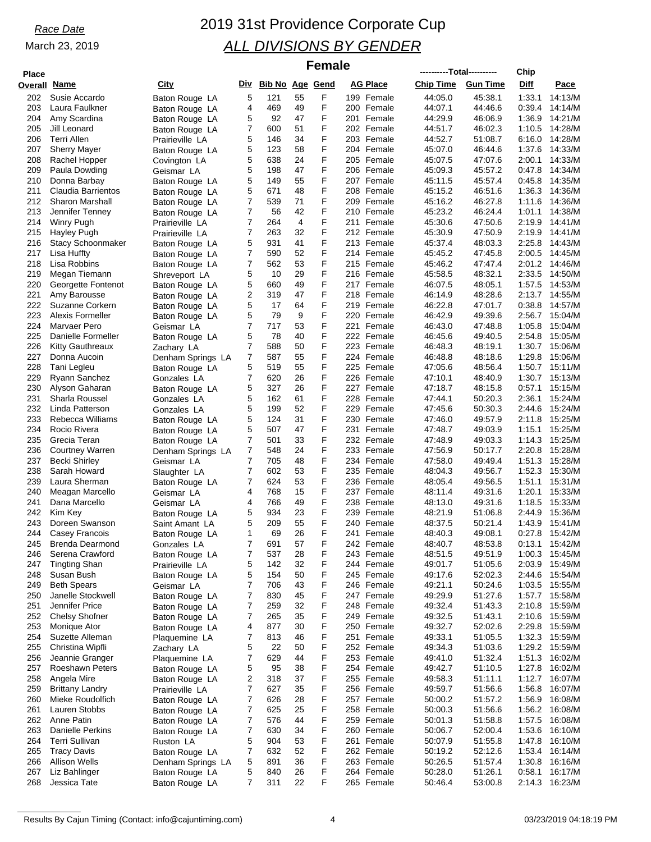## *Race Date* 2019 31st Providence Corporate Cup *ALL DIVISIONS BY GENDER*

### $Female$

| <b>Place</b>        |                                      |                          |        |                     |          |        |     |                          | ----------Total---------- |                    | Chip             |                    |
|---------------------|--------------------------------------|--------------------------|--------|---------------------|----------|--------|-----|--------------------------|---------------------------|--------------------|------------------|--------------------|
| <b>Overall Name</b> |                                      | <u>City</u>              |        | Div Bib No Age Gend |          |        |     | <b>AG Place</b>          | <b>Chip Time</b>          | <b>Gun Time</b>    | Diff             | Pace               |
| 202                 | Susie Accardo                        | Baton Rouge LA           | 5      | 121                 | 55       | F      |     | 199 Female               | 44:05.0                   | 45:38.1            | 1:33.1           | 14:13/M            |
| 203                 | Laura Faulkner                       | Baton Rouge LA           | 4      | 469                 | 49       | F      |     | 200 Female               | 44:07.1                   | 44:46.6            | 0:39.4           | 14:14/M            |
| 204                 | Amy Scardina                         | Baton Rouge LA           | 5      | 92                  | 47       | F      |     | 201 Female               | 44:29.9                   | 46:06.9            | 1:36.9           | 14:21/M            |
| 205                 | Jill Leonard                         | Baton Rouge LA           | 7      | 600                 | 51       | F      |     | 202 Female               | 44:51.7                   | 46:02.3            | 1:10.5           | 14:28/M            |
| 206                 | Terri Allen                          | Prairieville LA          | 5      | 146                 | 34       | F      |     | 203 Female               | 44:52.7                   | 51:08.7            | 6:16.0           | 14:28/M            |
| 207                 | <b>Sherry Mayer</b>                  | Baton Rouge LA           | 5      | 123                 | 58       | F      |     | 204 Female               | 45:07.0                   | 46:44.6            | 1:37.6           | 14:33/M            |
| 208                 | Rachel Hopper                        | Covington LA             | 5      | 638                 | 24       | F      |     | 205 Female               | 45:07.5                   | 47:07.6            | 2:00.1           | 14:33/M            |
| 209                 | Paula Dowding                        | Geismar LA               | 5      | 198                 | 47       | F      |     | 206 Female               | 45:09.3                   | 45:57.2            | 0:47.8           | 14:34/M            |
| 210                 | Donna Barbay                         | Baton Rouge LA           | 5      | 149                 | 55       | F      |     | 207 Female               | 45:11.5                   | 45:57.4            | 0.45.8           | 14:35/M            |
| 211                 | Claudia Barrientos                   | Baton Rouge LA           | 5      | 671                 | 48       | F      |     | 208 Female               | 45:15.2                   | 46:51.6            | 1:36.3           | 14:36/M            |
| 212                 | <b>Sharon Marshall</b>               | Baton Rouge LA           | 7      | 539                 | 71       | F      |     | 209 Female               | 45:16.2                   | 46:27.8            | 1:11.6           | 14:36/M            |
| 213                 | Jennifer Tenney                      | Baton Rouge LA           | 7      | 56                  | 42       | F      |     | 210 Female               | 45:23.2                   | 46:24.4            | 1:01.1           | 14:38/M            |
| 214                 | <b>Winry Pugh</b>                    | Prairieville LA          | 7      | 264                 | 4        | F      | 211 | Female                   | 45:30.6                   | 47:50.6            | 2:19.9           | 14:41/M            |
| 215                 | Hayley Pugh                          | Prairieville LA          | 7      | 263                 | 32       | F      |     | 212 Female               | 45:30.9                   | 47:50.9            | 2:19.9           | 14:41/M            |
| 216                 | <b>Stacy Schoonmaker</b>             | Baton Rouge LA           | 5      | 931                 | 41       | F      |     | 213 Female               | 45.37.4                   | 48:03.3            | 2:25.8           | 14:43/M            |
| 217                 | Lisa Huffty                          | Baton Rouge LA           | 7      | 590                 | 52       | F      |     | 214 Female               | 45:45.2                   | 47:45.8            | 2:00.5           | 14:45/M            |
| 218                 | Lisa Robbins                         | Baton Rouge LA           | 7      | 562                 | 53       | F      |     | 215 Female               | 45:46.2                   | 47:47.4            | 2:01.2           | 14:46/M            |
| 219                 | Megan Tiemann                        | Shreveport LA            | 5      | 10                  | 29       | F      |     | 216 Female               | 45:58.5                   | 48:32.1            | 2:33.5           | 14:50/M            |
| 220                 | Georgette Fontenot                   | Baton Rouge LA           | 5      | 660                 | 49       | F      | 217 | Female                   | 46:07.5                   | 48:05.1            | 1:57.5           | 14:53/M            |
| 221                 | Amy Barousse                         | Baton Rouge LA           | 2      | 319                 | 47       | F      |     | 218 Female               | 46:14.9                   | 48:28.6            | 2:13.7           | 14:55/M            |
| 222                 | Suzanne Corkern                      | Baton Rouge LA           | 5      | 17                  | 64       | F      |     | 219 Female               | 46:22.8                   | 47:01.7            | 0:38.8           | 14:57/M            |
| 223                 | Alexis Formeller                     | Baton Rouge LA           | 5      | 79                  | 9        | F      |     | 220 Female               | 46:42.9                   | 49:39.6            | 2:56.7           | 15:04/M            |
| 224                 | Marvaer Pero                         | Geismar LA               | 7      | 717                 | 53       | F      |     | 221 Female               | 46:43.0                   | 47:48.8            | 1:05.8           | 15:04/M            |
| 225                 | Danielle Formeller                   | Baton Rouge LA           | 5      | 78                  | 40       | F      |     | 222 Female               | 46:45.6                   | 49:40.5            | 2:54.8           | 15:05/M            |
| 226                 | Kitty Gauthreaux                     | Zachary LA               | 7      | 588                 | 50       | F      |     | 223 Female               | 46:48.3                   | 48:19.1            | 1:30.7           | 15:06/M            |
| 227                 | Donna Aucoin                         | Denham Springs LA        | 7      | 587                 | 55       | F      |     | 224 Female               | 46:48.8                   | 48:18.6            | 1:29.8           | 15:06/M            |
| 228                 | Tani Legleu                          | Baton Rouge LA           | 5      | 519                 | 55       | F      |     | 225 Female               | 47:05.6                   | 48:56.4            | 1:50.7           | 15:11/M            |
| 229                 | Ryann Sanchez                        | Gonzales LA              | 7      | 620                 | 26       | F      |     | 226 Female               | 47:10.1                   | 48:40.9            | 1:30.7           | 15:13/M            |
| 230                 | Alyson Gaharan                       | Baton Rouge LA           | 5      | 327                 | 26       | F      |     | 227 Female               | 47:18.7                   | 48:15.8            | 0:57.1           | 15:15/M            |
| 231                 | Sharla Roussel                       | Gonzales LA              | 5      | 162                 | 61       | F      |     | 228 Female               | 47:44.1                   | 50:20.3            | 2:36.1           | 15:24/M            |
| 232                 | Linda Patterson                      | Gonzales LA              | 5      | 199                 | 52       | F      |     | 229 Female               | 47:45.6                   | 50:30.3            | 2:44.6           | 15:24/M            |
| 233                 | Rebecca Williams                     | Baton Rouge LA           | 5      | 124                 | 31       | F      |     | 230 Female               | 47:46.0                   | 49:57.9            | 2:11.8           | 15:25/M            |
| 234                 | Rocio Rivera                         | Baton Rouge LA           | 5      | 507                 | 47       | F      | 231 | Female                   | 47:48.7                   | 49:03.9            | 1:15.1           | 15:25/M            |
| 235                 | Grecia Teran                         | Baton Rouge LA           | 7      | 501                 | 33       | F      |     | 232 Female               | 47:48.9                   | 49:03.3            | 1:14.3           | 15:25/M            |
| 236                 | Courtney Warren                      | Denham Springs LA        | 7<br>7 | 548                 | 24       | F<br>F |     | 233 Female               | 47:56.9                   | 50:17.7            | 2:20.8           | 15:28/M            |
| 237<br>238          | <b>Becki Shirley</b><br>Sarah Howard | Geismar LA               | 7      | 705<br>602          | 48<br>53 | F      |     | 234 Female<br>235 Female | 47:58.0                   | 49:49.4            | 1:51.3<br>1:52.3 | 15:28/M<br>15:30/M |
| 239                 | Laura Sherman                        | Slaughter LA             | 7      | 624                 | 53       | F      |     | 236 Female               | 48:04.3<br>48:05.4        | 49:56.7<br>49:56.5 | 1:51.1           | 15:31/M            |
| 240                 | Meagan Marcello                      | Baton Rouge LA           | 4      | 768                 | 15       | F      |     | 237 Female               | 48:11.4                   | 49:31.6            | 1:20.1           | 15:33/M            |
| 241                 | Dana Marcello                        | Geismar LA<br>Geismar LA | 4      | 766                 | 49       | F      |     | 238 Female               | 48:13.0                   | 49:31.6            | 1:18.5           | 15:33/M            |
| 242                 | Kim Key                              | Baton Rouge LA           | 5      | 934                 | 23       | F      |     | 239 Female               | 48:21.9                   | 51:06.8            | 2:44.9           | 15:36/M            |
| 243                 | Doreen Swanson                       | Saint Amant LA           | 5      | 209                 | 55       | F      |     | 240 Female               | 48:37.5                   | 50:21.4            | 1:43.9           | 15:41/M            |
| 244                 | Casey Francois                       | Baton Rouge LA           | 1      | 69                  | 26       | F      |     | 241 Female               | 48:40.3                   | 49:08.1            | 0:27.8           | 15:42/M            |
| 245                 | <b>Brenda Dearmond</b>               | Gonzales LA              | 7      | 691                 | 57       | F      |     | 242 Female               | 48:40.7                   | 48:53.8            |                  | 0:13.1 15:42/M     |
| 246                 | Serena Crawford                      | Baton Rouge LA           | 7      | 537                 | 28       | F      |     | 243 Female               | 48:51.5                   | 49.51.9            |                  | 1:00.3 15:45/M     |
| 247                 | <b>Tingting Shan</b>                 | Prairieville LA          | 5      | 142                 | 32       | F      |     | 244 Female               | 49:01.7                   | 51:05.6            | 2:03.9           | 15:49/M            |
| 248                 | Susan Bush                           | Baton Rouge LA           | 5      | 154                 | 50       | F      |     | 245 Female               | 49:17.6                   | 52:02.3            |                  | 2:44.6 15:54/M     |
| 249                 | <b>Beth Spears</b>                   | Geismar LA               | 7      | 706                 | 43       | F      |     | 246 Female               | 49:21.1                   | 50:24.6            |                  | 1:03.5 15:55/M     |
| 250                 | Janelle Stockwell                    | Baton Rouge LA           | 7      | 830                 | 45       | F      |     | 247 Female               | 49:29.9                   | 51:27.6            |                  | 1:57.7 15:58/M     |
| 251                 | Jennifer Price                       | Baton Rouge LA           | 7      | 259                 | 32       | F      |     | 248 Female               | 49:32.4                   | 51:43.3            | 2:10.8           | 15:59/M            |
| 252                 | <b>Chelsy Shofner</b>                | Baton Rouge LA           | 7      | 265                 | 35       | F      |     | 249 Female               | 49:32.5                   | 51:43.1            | 2:10.6           | 15:59/M            |
| 253                 | Monique Ator                         | Baton Rouge LA           | 4      | 877                 | 30       | F      |     | 250 Female               | 49:32.7                   | 52:02.6            | 2:29.8           | 15:59/M            |
| 254                 | Suzette Alleman                      | Plaquemine LA            | 7      | 813                 | 46       | F      |     | 251 Female               | 49:33.1                   | 51:05.5            | 1:32.3           | 15:59/M            |
| 255                 | Christina Wipfli                     | Zachary LA               | 5      | 22                  | 50       | F      |     | 252 Female               | 49:34.3                   | 51:03.6            | 1:29.2           | 15:59/M            |
| 256                 | Jeannie Granger                      | Plaquemine LA            | 7      | 629                 | 44       | F      |     | 253 Female               | 49:41.0                   | 51:32.4            |                  | 1:51.3 16:02/M     |
| 257                 | Roeshawn Peters                      | Baton Rouge LA           | 5      | 95                  | 38       | F      |     | 254 Female               | 49:42.7                   | 51:10.5            | 1:27.8           | 16:02/M            |
| 258                 | Angela Mire                          | Baton Rouge LA           | 2      | 318                 | 37       | F      |     | 255 Female               | 49:58.3                   | 51:11.1            | 1:12.7           | 16:07/M            |
| 259                 | <b>Brittany Landry</b>               | Prairieville LA          | 7      | 627                 | 35       | F      |     | 256 Female               | 49:59.7                   | 51:56.6            | 1:56.8           | 16:07/M            |
| 260                 | Mieke Roudolfich                     | Baton Rouge LA           | 7      | 626                 | 28       | F      |     | 257 Female               | 50:00.2                   | 51:57.2            | 1:56.9           | 16:08/M            |
| 261                 | Lauren Stobbs                        | Baton Rouge LA           | 7      | 625                 | 25       | F      |     | 258 Female               | 50:00.3                   | 51:56.6            |                  | 1:56.2 16:08/M     |
| 262                 | Anne Patin                           | Baton Rouge LA           | 7      | 576                 | 44       | F      |     | 259 Female               | 50:01.3                   | 51:58.8            |                  | 1:57.5 16:08/M     |
| 263                 | <b>Danielle Perkins</b>              | Baton Rouge LA           | 7      | 630                 | 34       | F      |     | 260 Female               | 50:06.7                   | 52:00.4            | 1:53.6           | 16:10/M            |
| 264                 | Terri Sullivan                       | Ruston LA                | 5      | 904                 | 53       | F      |     | 261 Female               | 50:07.9                   | 51:55.8            |                  | 1:47.8 16:10/M     |
| 265                 | <b>Tracy Davis</b>                   | Baton Rouge LA           | 7      | 632                 | 52       | F      |     | 262 Female               | 50:19.2                   | 52:12.6            | 1:53.4           | 16:14/M            |
| 266                 | <b>Allison Wells</b>                 | Denham Springs LA        | 5      | 891                 | 36       | F      |     | 263 Female               | 50:26.5                   | 51:57.4            | 1:30.8           | 16:16/M            |
| 267                 | Liz Bahlinger                        | Baton Rouge LA           | 5      | 840                 | 26       | F      |     | 264 Female               | 50:28.0                   | 51:26.1            | 0:58.1           | 16:17/M            |
| 268                 | Jessica Tate                         | Baton Rouge LA           | 7      | 311                 | 22       | F      |     | 265 Female               | 50:46.4                   | 53:00.8            |                  | 2:14.3 16:23/M     |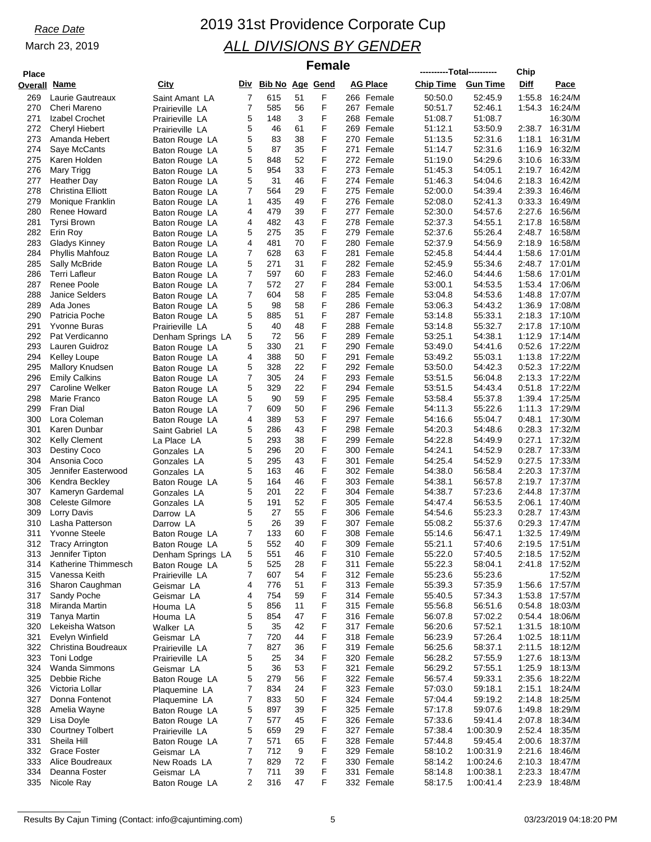| <b>Place</b> |                                               |                                   |        |                     |          | <b>Female</b> | ----------Total---------- |        |                    |                      |                     |                    |
|--------------|-----------------------------------------------|-----------------------------------|--------|---------------------|----------|---------------|---------------------------|--------|--------------------|----------------------|---------------------|--------------------|
| Overall      | Name                                          | City                              |        | Div Bib No Age Gend |          |               | <b>AG Place</b>           |        | <b>Chip Time</b>   | <b>Gun Time</b>      | Chip<br><b>Diff</b> | Pace               |
| 269          | Laurie Gautreaux                              | Saint Amant LA                    | 7      | 615                 | 51       | F             | 266 Female                |        | 50:50.0            | 52:45.9              | 1:55.8              | 16:24/M            |
| 270          | Cheri Mareno                                  | Prairieville LA                   | 7      | 585                 | 56       | F             | 267 Female                |        | 50:51.7            | 52:46.1              | 1:54.3              | 16:24/M            |
| 271          | Izabel Crochet                                | Prairieville LA                   | 5      | 148                 | 3        | F             | 268 Female                |        | 51:08.7            | 51:08.7              |                     | 16:30/M            |
| 272          | <b>Cheryl Hiebert</b>                         | Prairieville LA                   | 5      | 46                  | 61       | F             | 269 Female                |        | 51:12.1            | 53:50.9              | 2:38.7              | 16:31/M            |
| 273<br>274   | Amanda Hebert<br>Saye McCants                 | Baton Rouge LA                    | 5<br>5 | 83<br>87            | 38<br>35 | F<br>F        | 270 Female<br>271         | Female | 51:13.5<br>51:14.7 | 52:31.6<br>52:31.6   | 1:18.1<br>1:16.9    | 16:31/M<br>16:32/M |
| 275          | Karen Holden                                  | Baton Rouge LA<br>Baton Rouge LA  | 5      | 848                 | 52       | F             | 272 Female                |        | 51:19.0            | 54:29.6              | 3:10.6              | 16:33/M            |
| 276          | Mary Trigg                                    | Baton Rouge LA                    | 5      | 954                 | 33       | F             | 273 Female                |        | 51:45.3            | 54:05.1              | 2:19.7              | 16:42/M            |
| 277          | Heather Day                                   | Baton Rouge LA                    | 5      | 31                  | 46       | F             | 274 Female                |        | 51:46.3            | 54:04.6              | 2:18.3              | 16:42/M            |
| 278          | Christina Elliott                             | Baton Rouge LA                    | 7      | 564                 | 29       | F             | 275 Female                |        | 52:00.0            | 54:39.4              | 2:39.3              | 16:46/M            |
| 279          | Monique Franklin                              | Baton Rouge LA                    | 1      | 435                 | 49       | F             | 276 Female                |        | 52:08.0            | 52:41.3              | 0:33.3              | 16:49/M            |
| 280<br>281   | Renee Howard<br>Tyrsi Brown                   | Baton Rouge LA                    | 4<br>4 | 479<br>482          | 39<br>43 | F<br>F        | 277<br>278 Female         | Female | 52:30.0<br>52:37.3 | 54:57.6<br>54:55.1   | 2:27.6<br>2:17.8    | 16:56/M<br>16:58/M |
| 282          | Erin Roy                                      | Baton Rouge LA<br>Baton Rouge LA  | 5      | 275                 | 35       | F             | 279 Female                |        | 52:37.6            | 55:26.4              | 2:48.7              | 16:58/M            |
| 283          | <b>Gladys Kinney</b>                          | Baton Rouge LA                    | 4      | 481                 | 70       | F             | 280                       | Female | 52:37.9            | 54:56.9              | 2:18.9              | 16:58/M            |
| 284          | <b>Phyllis Mahfouz</b>                        | Baton Rouge LA                    | 7      | 628                 | 63       | F             | 281 Female                |        | 52:45.8            | 54:44.4              | 1:58.6              | 17:01/M            |
| 285          | Sally McBride                                 | Baton Rouge LA                    | 5      | 271                 | 31       | F             | 282 Female                |        | 52:45.9            | 55:34.6              | 2:48.7              | 17:01/M            |
| 286          | <b>Terri Lafleur</b>                          | Baton Rouge LA                    | 7      | 597                 | 60       | F             | 283 Female                |        | 52:46.0            | 54:44.6              | 1:58.6              | 17:01/M            |
| 287<br>288   | Renee Poole<br><b>Janice Selders</b>          | Baton Rouge LA                    | 7<br>7 | 572<br>604          | 27<br>58 | F<br>F        | 284 Female<br>285 Female  |        | 53:00.1<br>53:04.8 | 54:53.5<br>54:53.6   | 1:53.4<br>1:48.8    | 17:06/M<br>17:07/M |
| 289          | Ada Jones                                     | Baton Rouge LA<br>Baton Rouge LA  | 5      | 98                  | 58       | F             | 286 Female                |        | 53:06.3            | 54:43.2              | 1:36.9              | 17:08/M            |
| 290          | Patricia Poche                                | Baton Rouge LA                    | 5      | 885                 | 51       | F             | 287 Female                |        | 53:14.8            | 55:33.1              | 2:18.3              | 17:10/M            |
| 291          | <b>Yvonne Buras</b>                           | Prairieville LA                   | 5      | 40                  | 48       | F             | 288 Female                |        | 53:14.8            | 55:32.7              | 2:17.8              | 17:10/M            |
| 292          | Pat Verdicanno                                | Denham Springs LA                 | 5      | 72                  | 56       | F             | 289 Female                |        | 53:25.1            | 54:38.1              | 1:12.9              | 17:14/M            |
| 293          | Lauren Guidroz                                | Baton Rouge LA                    | 5      | 330                 | 21       | F             | 290                       | Female | 53:49.0            | 54:41.6              | 0.52.6              | 17:22/M            |
| 294<br>295   | <b>Kelley Loupe</b><br><b>Mallory Knudsen</b> | Baton Rouge LA                    | 4<br>5 | 388<br>328          | 50<br>22 | F<br>F        | 291<br>292 Female         | Female | 53:49.2<br>53:50.0 | 55:03.1<br>54:42.3   | 1:13.8<br>0:52.3    | 17:22/M<br>17:22/M |
| 296          | <b>Emily Calkins</b>                          | Baton Rouge LA<br>Baton Rouge LA  | 7      | 305                 | 24       | F             | 293 Female                |        | 53:51.5            | 56:04.8              | 2:13.3              | 17:22/M            |
| 297          | Caroline Welker                               | Baton Rouge LA                    | 5      | 329                 | 22       | F             | 294 Female                |        | 53:51.5            | 54:43.4              | 0:51.8              | 17:22/M            |
| 298          | Marie Franco                                  | Baton Rouge LA                    | 5      | 90                  | 59       | F             | 295 Female                |        | 53:58.4            | 55:37.8              | 1:39.4              | 17:25/M            |
| 299          | Fran Dial                                     | Baton Rouge LA                    | 7      | 609                 | 50       | F             | 296 Female                |        | 54:11.3            | 55:22.6              | 1:11.3              | 17:29/M            |
| 300          | Lora Coleman                                  | Baton Rouge LA                    | 4      | 389                 | 53       | F             | 297 Female                |        | 54:16.6            | 55:04.7              | 0:48.1              | 17:30/M            |
| 301<br>302   | Karen Dunbar<br><b>Kelly Clement</b>          | Saint Gabriel LA                  | 5<br>5 | 286<br>293          | 43<br>38 | F<br>F        | 298 Female<br>299 Female  |        | 54:20.3<br>54:22.8 | 54:48.6<br>54:49.9   | 0.28.3<br>0:27.1    | 17:32/M<br>17:32/M |
| 303          | Destiny Coco                                  | La Place LA<br>Gonzales LA        | 5      | 296                 | 20       | F             | 300 Female                |        | 54:24.1            | 54:52.9              | 0.28.7              | 17:33/M            |
| 304          | Ansonia Coco                                  | Gonzales LA                       | 5      | 295                 | 43       | F             | 301                       | Female | 54:25.4            | 54:52.9              | 0:27.5              | 17:33/M            |
| 305          | Jennifer Easterwood                           | Gonzales LA                       | 5      | 163                 | 46       | F             | 302 Female                |        | 54:38.0            | 56.58.4              | 2:20.3              | 17:37/M            |
| 306          | Kendra Beckley                                | Baton Rouge LA                    | 5      | 164                 | 46       | F             | 303 Female                |        | 54:38.1            | 56:57.8              | 2:19.7              | 17:37/M            |
| 307          | Kameryn Gardemal                              | Gonzales LA                       | 5      | 201                 | 22       | F             | 304 Female                |        | 54:38.7            | 57:23.6              | 2:44.8              | 17:37/M            |
| 308<br>309   | Celeste Gilmore<br>Lorry Davis                | Gonzales LA                       | 5<br>5 | 191<br>27           | 52<br>55 | F<br>F        | 305 Female<br>306         | Female | 54:47.4<br>54.54.6 | 56:53.5<br>55:23.3   | 2:06.1<br>0.28.7    | 17:40/M<br>17:43/M |
| 310          | Lasha Patterson                               | Darrow LA<br>Darrow LA            | 5      | 26                  | 39       | F             | 307 Female                |        | 55:08.2            | 55:37.6              | 0:29.3              | 17:47/M            |
| 311          | <b>Yvonne Steele</b>                          | Baton Rouge LA                    | 7      | 133                 | 60       | F             | 308 Female                |        | 55:14.6            | 56.47.1              | 1:32.5              | 17:49/M            |
| 312          | <b>Tracy Arrington</b>                        | Baton Rouge LA                    | 5      | 552                 | 40       | F             | 309 Female                |        | 55:21.1            | 57:40.6              | 2:19.5              | 17:51/M            |
| 313          | Jennifer Tipton                               | Denham Springs LA                 | 5      | 551                 | 46       | F             | 310 Female                |        | 55:22.0            | 57:40.5              | 2:18.5              | 17:52/M            |
| 314          | Katherine Thimmesch                           | Baton Rouge LA                    | 5      | 525                 | 28       | F             | 311                       | Female | 55:22.3            | 58:04.1              | 2:41.8              | 17:52/M            |
| 315          | Vanessa Keith                                 | Prairieville LA                   | 7      | 607<br>776          | 54<br>51 | F<br>F        | 312 Female                |        | 55:23.6<br>55:39.3 | 55:23.6<br>57:35.9   |                     | 17:52/M<br>17:57/M |
| 316<br>317   | Sharon Caughman<br>Sandy Poche                | Geismar LA<br>Geismar LA          | 4<br>4 | 754                 | 59       | F             | 313 Female<br>314 Female  |        | 55:40.5            | 57:34.3              | 1:56.6<br>1:53.8    | 17:57/M            |
| 318          | Miranda Martin                                | Houma LA                          | 5      | 856                 | 11       | F             | 315 Female                |        | 55:56.8            | 56:51.6              | 0.54.8              | 18:03/M            |
| 319          | <b>Tanya Martin</b>                           | Houma LA                          | 5      | 854                 | 47       | F             | 316 Female                |        | 56:07.8            | 57:02.2              | 0.54.4              | 18:06/M            |
| 320          | Lekeisha Watson                               | Walker LA                         | 5      | 35                  | 42       | F             | 317 Female                |        | 56:20.6            | 57:52.1              | 1:31.5              | 18:10/M            |
| 321          | Evelyn Winfield                               | Geismar LA                        | 7      | 720                 | 44       | F             | 318 Female                |        | 56:23.9            | 57.26.4              | 1:02.5              | 18:11/M            |
| 322<br>323   | Christina Boudreaux                           | Prairieville LA                   | 7<br>5 | 827<br>25           | 36<br>34 | F<br>F        | 319 Female<br>320 Female  |        | 56:25.6<br>56:28.2 | 58:37.1<br>57:55.9   | 2:11.5<br>1:27.6    | 18:12/M<br>18:13/M |
| 324          | Toni Lodge<br>Wanda Simmons                   | Prairieville LA<br>Geismar LA     | 5      | 36                  | 53       | F             | 321 Female                |        | 56:29.2            | 57:55.1              | 1:25.9              | 18:13/M            |
| 325          | Debbie Riche                                  | Baton Rouge LA                    | 5      | 279                 | 56       | F             | 322 Female                |        | 56:57.4            | 59:33.1              | 2:35.6              | 18:22/M            |
| 326          | Victoria Lollar                               | Plaquemine LA                     | 7      | 834                 | 24       | F             | 323 Female                |        | 57:03.0            | 59:18.1              | 2:15.1              | 18:24/M            |
| 327          | Donna Fontenot                                | Plaquemine LA                     | 7      | 833                 | 50       | F             | 324 Female                |        | 57:04.4            | 59:19.2              | 2:14.8              | 18:25/M            |
| 328          | Amelia Wayne                                  | Baton Rouge LA                    | 5      | 897                 | 39       | F             | 325 Female                |        | 57:17.8            | 59:07.6              | 1:49.8              | 18:29/M            |
| 329          | Lisa Doyle                                    | Baton Rouge LA                    | 7      | 577                 | 45       | F<br>F        | 326 Female                |        | 57:33.6            | 59:41.4              |                     | 2:07.8 18:34/M     |
| 330<br>331   | <b>Courtney Tolbert</b><br>Sheila Hill        | Prairieville LA<br>Baton Rouge LA | 5<br>7 | 659<br>571          | 29<br>65 | F             | 327 Female<br>328 Female  |        | 57:38.4<br>57:44.8 | 1:00:30.9<br>59:45.4 | 2:52.4<br>2:00.6    | 18:35/M<br>18:37/M |
| 332          | <b>Grace Foster</b>                           | Geismar LA                        | 7      | 712                 | 9        | F             | 329 Female                |        | 58:10.2            | 1:00:31.9            | 2:21.6              | 18:46/M            |
| 333          | Alice Boudreaux                               | New Roads LA                      | 7      | 829                 | 72       | F             | 330 Female                |        | 58:14.2            | 1:00:24.6            | 2:10.3              | 18:47/M            |
| 334          | Deanna Foster                                 | Geismar LA                        | 7      | 711                 | 39       | F             | 331 Female                |        | 58:14.8            | 1:00:38.1            | 2:23.3              | 18:47/M            |
| 335          | Nicole Ray                                    | Baton Rouge LA                    | 2      | 316                 | 47       | F             | 332 Female                |        | 58:17.5            | 1:00:41.4            | 2:23.9              | 18:48/M            |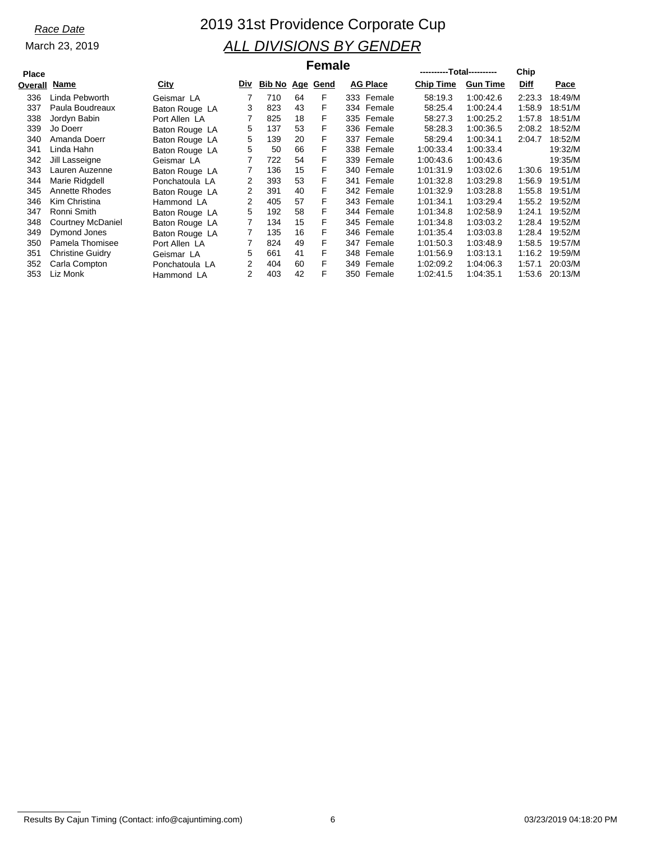### *Race Date* 2019 31st Providence Corporate Cup *ALL DIVISIONS BY GENDER* **----------Total---------- Female**

### **Overall**

| Place  |                         |                | гепан |        |    |          |                 |            | ----------Total---------- |                 | Chip   |         |
|--------|-------------------------|----------------|-------|--------|----|----------|-----------------|------------|---------------------------|-----------------|--------|---------|
| verall | Name                    | City           | Div   | Bib No |    | Age Gend | <b>AG Place</b> |            | <b>Chip Time</b>          | <b>Gun Time</b> | Diff   | Pace    |
| 336    | Linda Pebworth          | Geismar LA     |       | 710    | 64 | F        |                 | 333 Female | 58:19.3                   | 1:00:42.6       | 2:23.3 | 18:49/M |
| 337    | Paula Boudreaux         | Baton Rouge LA | 3     | 823    | 43 | F        |                 | 334 Female | 58:25.4                   | 1:00:24.4       | 1:58.9 | 18:51/M |
| 338    | Jordyn Babin            | Port Allen LA  |       | 825    | 18 | F        |                 | 335 Female | 58:27.3                   | 1:00:25.2       | 1:57.8 | 18:51/M |
| 339    | Jo Doerr                | Baton Rouge LA | 5     | 137    | 53 | F        |                 | 336 Female | 58:28.3                   | 1:00:36.5       | 2:08.2 | 18:52/M |
| 340    | Amanda Doerr            | Baton Rouge LA | 5     | 139    | 20 | F        |                 | 337 Female | 58:29.4                   | 1:00:34.1       | 2:04.7 | 18:52/M |
| 341    | Linda Hahn              | Baton Rouge LA | 5     | 50     | 66 | F        |                 | 338 Female | 1:00:33.4                 | 1:00:33.4       |        | 19:32/M |
| 342    | Jill Lasseigne          | Geismar LA     | 7     | 722    | 54 | F        |                 | 339 Female | 1:00:43.6                 | 1:00:43.6       |        | 19:35/M |
| 343    | Lauren Auzenne          | Baton Rouge LA |       | 136    | 15 | F        |                 | 340 Female | 1:01:31.9                 | 1:03:02.6       | 1:30.6 | 19:51/M |
| 344    | Marie Ridgdell          | Ponchatoula LA | 2     | 393    | 53 | F        | 341             | Female     | 1:01:32.8                 | 1:03:29.8       | 1:56.9 | 19:51/M |
| 345    | Annette Rhodes          | Baton Rouge LA | 2     | 391    | 40 | F        |                 | 342 Female | 1:01:32.9                 | 1:03:28.8       | 1:55.8 | 19:51/M |
| 346    | Kim Christina           | Hammond LA     | 2     | 405    | 57 | F        |                 | 343 Female | 1:01:34.1                 | 1:03:29.4       | 1:55.2 | 19:52/M |
| 347    | Ronni Smith             | Baton Rouge LA | 5     | 192    | 58 | F        |                 | 344 Female | 1:01:34.8                 | 1:02:58.9       | 1:24.1 | 19:52/M |
| 348    | Courtney McDaniel       | Baton Rouge LA |       | 134    | 15 | F        |                 | 345 Female | 1:01:34.8                 | 1:03:03.2       | 1:28.4 | 19:52/M |
| 349    | Dymond Jones            | Baton Rouge LA |       | 135    | 16 | F        |                 | 346 Female | 1:01:35.4                 | 1:03:03.8       | 1.28.4 | 19:52/M |
| 350    | Pamela Thomisee         | Port Allen LA  |       | 824    | 49 | F        |                 | 347 Female | 1:01:50.3                 | 1:03:48.9       | 1:58.5 | 19:57/M |
| 351    | <b>Christine Guidry</b> | Geismar LA     | 5     | 661    | 41 | F        |                 | 348 Female | 1:01:56.9                 | 1:03:13.1       | 1:16.2 | 19:59/M |
| 352    | Carla Compton           | Ponchatoula LA | 2     | 404    | 60 | F        |                 | 349 Female | 1:02:09.2                 | 1:04:06.3       | 1:57.1 | 20:03/M |
| 353    | Liz Monk                | Hammond LA     | 2     | 403    | 42 | F        |                 | 350 Female | 1:02:41.5                 | 1:04:35.1       | 1:53.6 | 20:13/M |

Results By Cajun Timing (Contact: info@cajuntiming.com) 6 03/23/2019 04:18:20 PM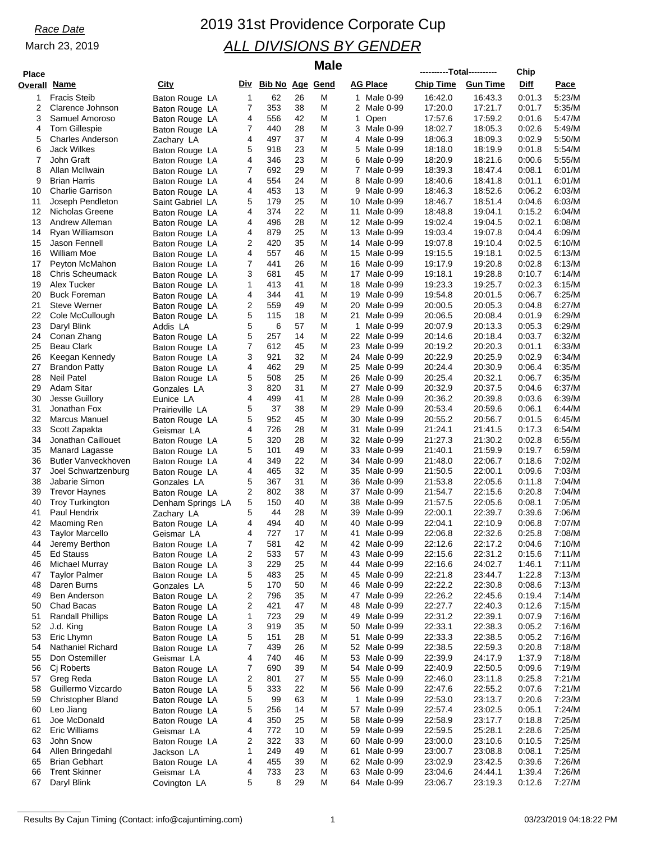## *Race Date* 2019 31st Providence Corporate Cup *ALL DIVISIONS BY GENDER*

| <b>Place</b> |                                       |                                  |             |                     |          | <b>Male</b> |          |                           | ----------Total---------- |                    | Chip             |                  |
|--------------|---------------------------------------|----------------------------------|-------------|---------------------|----------|-------------|----------|---------------------------|---------------------------|--------------------|------------------|------------------|
| Overall      | Name                                  | City                             |             | Div Bib No Age Gend |          |             |          | AG Place                  | <b>Chip Time</b>          | <b>Gun Time</b>    | Diff             | <u>Pace</u>      |
| 1            | <b>Fracis Steib</b>                   | Baton Rouge LA                   | $\mathbf 1$ | 62                  | 26       | M           |          | 1 Male 0-99               | 16:42.0                   | 16:43.3            | 0:01.3           | 5:23/M           |
| 2            | Clarence Johnson                      | Baton Rouge LA                   | 7           | 353                 | 38       | M           |          | 2 Male 0-99               | 17:20.0                   | 17:21.7            | 0:01.7           | 5:35/M           |
| 3            | Samuel Amoroso                        | Baton Rouge LA                   | 4           | 556                 | 42       | M           | 1        | Open                      | 17:57.6                   | 17:59.2            | 0:01.6           | 5:47/M           |
| 4            | <b>Tom Gillespie</b>                  | Baton Rouge LA                   | 7           | 440                 | 28       | M           | 3        | Male 0-99                 | 18:02.7                   | 18:05.3            | 0:02.6           | 5:49/M           |
| 5            | <b>Charles Anderson</b>               | Zachary LA                       | 4           | 497                 | 37       | Μ           | 4        | Male 0-99                 | 18:06.3                   | 18:09.3            | 0:02.9           | 5:50/M           |
| 6<br>7       | <b>Jack Wilkes</b><br>John Graft      | Baton Rouge LA                   | 5<br>4      | 918<br>346          | 23<br>23 | M<br>M      | 5<br>6   | Male 0-99<br>Male 0-99    | 18:18.0<br>18:20.9        | 18:19.9<br>18:21.6 | 0:01.8<br>0:00.6 | 5:54/M<br>5:55/M |
| 8            | Allan McIlwain                        | Baton Rouge LA<br>Baton Rouge LA | 7           | 692                 | 29       | M           | 7        | Male 0-99                 | 18:39.3                   | 18:47.4            | 0:08.1           | 6:01/M           |
| 9            | <b>Brian Harris</b>                   | Baton Rouge LA                   | 4           | 554                 | 24       | M           | 8        | Male 0-99                 | 18:40.6                   | 18:41.8            | 0:01.1           | 6:01/M           |
| 10           | <b>Charlie Garrison</b>               | Baton Rouge LA                   | 4           | 453                 | 13       | Μ           | 9        | Male 0-99                 | 18:46.3                   | 18:52.6            | 0:06.2           | 6:03/M           |
| 11           | Joseph Pendleton                      | Saint Gabriel LA                 | 5           | 179                 | 25       | M           | 10       | Male 0-99                 | 18:46.7                   | 18:51.4            | 0:04.6           | 6:03/M           |
| 12           | Nicholas Greene                       | Baton Rouge LA                   | 4           | 374                 | 22       | M           | 11       | Male 0-99                 | 18:48.8                   | 19:04.1            | 0:15.2           | 6:04/M           |
| 13           | Andrew Alleman                        | Baton Rouge LA                   | 4           | 496                 | 28       | Μ           |          | 12 Male 0-99              | 19:02.4                   | 19:04.5            | 0:02.1           | 6:08/M           |
| 14           | Ryan Williamson                       | Baton Rouge LA                   | 4           | 879                 | 25       | M           | 13       | Male 0-99                 | 19:03.4                   | 19:07.8            | 0:04.4           | 6:09/M           |
| 15<br>16     | Jason Fennell<br>William Moe          | Baton Rouge LA                   | 2<br>4      | 420<br>557          | 35<br>46 | M<br>Μ      | 14<br>15 | Male 0-99<br>Male 0-99    | 19:07.8<br>19:15.5        | 19:10.4<br>19:18.1 | 0:02.5<br>0:02.5 | 6:10/M<br>6:13/M |
| 17           | Peyton McMahon                        | Baton Rouge LA<br>Baton Rouge LA | 7           | 441                 | 26       | M           | 16       | Male 0-99                 | 19:17.9                   | 19:20.8            | 0:02.8           | 6:13/M           |
| 18           | <b>Chris Scheumack</b>                | Baton Rouge LA                   | 3           | 681                 | 45       | Μ           |          | 17 Male 0-99              | 19:18.1                   | 19:28.8            | 0:10.7           | 6:14/M           |
| 19           | Alex Tucker                           | Baton Rouge LA                   | 1           | 413                 | 41       | M           | 18       | Male 0-99                 | 19:23.3                   | 19:25.7            | 0:02.3           | 6:15/M           |
| 20           | <b>Buck Foreman</b>                   | Baton Rouge LA                   | 4           | 344                 | 41       | M           | 19       | Male 0-99                 | 19:54.8                   | 20:01.5            | 0:06.7           | 6:25/M           |
| 21           | <b>Steve Werner</b>                   | Baton Rouge LA                   | 2           | 559                 | 49       | Μ           | 20       | Male 0-99                 | 20:00.5                   | 20:05.3            | 0.04.8           | 6:27/M           |
| 22           | Cole McCullough                       | Baton Rouge LA                   | 5           | 115                 | 18       | M           | 21       | Male 0-99                 | 20:06.5                   | 20:08.4            | 0:01.9           | 6:29/M           |
| 23           | Daryl Blink                           | Addis LA                         | 5           | 6                   | 57       | M           | 1        | Male 0-99                 | 20:07.9                   | 20:13.3            | 0:05.3           | 6:29/M           |
| 24<br>25     | Conan Zhang                           | Baton Rouge LA                   | 5<br>7      | 257<br>612          | 14<br>45 | Μ<br>M      | 22       | Male 0-99                 | 20:14.6<br>20:19.2        | 20:18.4<br>20:20.3 | 0:03.7<br>0:01.1 | 6:32/M<br>6:33/M |
| 26           | Beau Clark<br>Keegan Kennedy          | Baton Rouge LA<br>Baton Rouge LA | 3           | 921                 | 32       | Μ           | 23       | Male 0-99<br>24 Male 0-99 | 20:22.9                   | 20:25.9            | 0:02.9           | 6:34/M           |
| 27           | <b>Brandon Patty</b>                  | Baton Rouge LA                   | 4           | 462                 | 29       | M           | 25       | Male 0-99                 | 20:24.4                   | 20:30.9            | 0:06.4           | 6:35/M           |
| 28           | Neil Patel                            | Baton Rouge LA                   | 5           | 508                 | 25       | M           | 26       | Male 0-99                 | 20:25.4                   | 20:32.1            | 0:06.7           | 6:35/M           |
| 29           | Adam Sitar                            | Gonzales LA                      | 3           | 820                 | 31       | Μ           | 27       | Male 0-99                 | 20:32.9                   | 20:37.5            | 0:04.6           | 6:37/M           |
| 30           | Jesse Guillory                        | Eunice LA                        | 4           | 499                 | 41       | M           | 28       | Male 0-99                 | 20:36.2                   | 20:39.8            | 0:03.6           | 6:39/M           |
| 31           | Jonathan Fox                          | Prairieville LA                  | 5           | 37                  | 38       | M           | 29       | Male 0-99                 | 20:53.4                   | 20:59.6            | 0:06.1           | 6:44/M           |
| 32           | Marcus Manuel                         | Baton Rouge LA                   | 5           | 952                 | 45       | Μ           | 30       | Male 0-99                 | 20:55.2                   | 20:56.7            | 0:01.5           | 6:45/M           |
| 33<br>34     | Scott Zapakta<br>Jonathan Caillouet   | Geismar LA                       | 4<br>5      | 726<br>320          | 28<br>28 | M<br>Μ      | 31       | Male 0-99<br>32 Male 0-99 | 21:24.1<br>21:27.3        | 21:41.5<br>21:30.2 | 0:17.3<br>0:02.8 | 6:54/M<br>6:55/M |
| 35           | Manard Lagasse                        | Baton Rouge LA<br>Baton Rouge LA | 5           | 101                 | 49       | M           |          | 33 Male 0-99              | 21:40.1                   | 21:59.9            | 0.19.7           | 6:59/M           |
| 36           | <b>Butler Vanveckhoven</b>            | Baton Rouge LA                   | 4           | 349                 | 22       | M           | 34       | Male 0-99                 | 21:48.0                   | 22:06.7            | 0:18.6           | 7:02/M           |
| 37           | Joel Schwartzenburg                   | Baton Rouge LA                   | 4           | 465                 | 32       | Μ           | 35       | Male 0-99                 | 21:50.5                   | 22:00.1            | 0:09.6           | 7:03/M           |
| 38           | Jabarie Simon                         | Gonzales LA                      | 5           | 367                 | 31       | M           | 36       | Male 0-99                 | 21:53.8                   | 22:05.6            | 0:11.8           | 7:04/M           |
| 39           | <b>Trevor Haynes</b>                  | Baton Rouge LA                   | 2           | 802                 | 38       | M           | 37       | Male 0-99                 | 21:54.7                   | 22:15.6            | 0.20.8           | 7:04/M           |
| 40           | <b>Troy Turkington</b>                | Denham Springs LA                | 5           | 150                 | 40       | Μ           | 38       | Male 0-99                 | 21:57.5                   | 22:05.6            | 0:08.1           | 7:05/M           |
| 41           | Paul Hendrix                          | Zachary LA                       | 5           | 44                  | 28       | M           | 39       | Male 0-99                 | 22:00.1                   | 22:39.7            | 0:39.6           | 7:06/M           |
| 42<br>43     | Maoming Ren<br><b>Taylor Marcello</b> | Baton Rouge LA                   | 4<br>4      | 494<br>727          | 40<br>17 | Μ<br>М      | 40<br>41 | Male 0-99<br>Male 0-99    | 22:04.1<br>22:06.8        | 22:10.9<br>22:32.6 | 0:06.8<br>0.25.8 | 7:07/M<br>7:08/M |
| 44           | Jeremy Berthon                        | Geismar LA<br>Baton Rouge LA     | 7           | 581                 | 42       | M           |          | 42 Male 0-99              | 22:12.6                   | 22:17.2            | 0.04.6           | 7:10/M           |
| 45           | <b>Ed Stauss</b>                      | Baton Rouge LA                   | 2           | 533                 | 57       | M           |          | 43 Male 0-99              | 22:15.6                   | 22:31.2            | 0:15.6           | 7:11/M           |
| 46           | <b>Michael Murray</b>                 | Baton Rouge LA                   | 3           | 229                 | 25       | M           |          | 44 Male 0-99              | 22:16.6                   | 24:02.7            | 1:46.1           | 7:11/M           |
| 47           | <b>Taylor Palmer</b>                  | Baton Rouge LA                   | 5           | 483                 | 25       | M           | 45       | Male 0-99                 | 22:21.8                   | 23:44.7            | 1:22.8           | 7:13/M           |
| 48           | Daren Burns                           | Gonzales LA                      | 5           | 170                 | 50       | M           |          | 46 Male 0-99              | 22:22.2                   | 22:30.8            | 0.08.6           | 7:13/M           |
| 49           | <b>Ben Anderson</b>                   | Baton Rouge LA                   | 2           | 796                 | 35       | M           | 47       | Male 0-99                 | 22:26.2                   | 22:45.6            | 0:19.4           | 7:14/M           |
| 50           | Chad Bacas                            | Baton Rouge LA                   | 2           | 421                 | 47       | M           | 48       | Male 0-99                 | 22:27.7                   | 22:40.3            | 0.12.6           | 7:15/M           |
| 51<br>52     | <b>Randall Phillips</b><br>J.d. King  | Baton Rouge LA                   | 1<br>3      | 723<br>919          | 29<br>35 | M<br>M      | 49<br>50 | Male 0-99<br>Male 0-99    | 22:31.2<br>22:33.1        | 22:39.1<br>22:38.3 | 0.07.9<br>0:05.2 | 7:16/M<br>7:16/M |
| 53           | Eric Lhymn                            | Baton Rouge LA<br>Baton Rouge LA | 5           | 151                 | 28       | M           | 51       | Male 0-99                 | 22:33.3                   | 22:38.5            | 0:05.2           | 7:16/M           |
| 54           | Nathaniel Richard                     | Baton Rouge LA                   | 7           | 439                 | 26       | M           |          | 52 Male 0-99              | 22:38.5                   | 22:59.3            | 0:20.8           | 7:18/M           |
| 55           | Don Ostemiller                        | Geismar LA                       | 4           | 740                 | 46       | M           | 53       | Male 0-99                 | 22:39.9                   | 24:17.9            | 1:37.9           | 7:18/M           |
| 56           | C <sub>j</sub> Roberts                | Baton Rouge LA                   | 7           | 690                 | 39       | M           |          | 54 Male 0-99              | 22:40.9                   | 22:50.5            | 0:09.6           | 7:19/M           |
| 57           | Greg Reda                             | Baton Rouge LA                   | 2           | 801                 | 27       | M           | 55       | Male 0-99                 | 22:46.0                   | 23:11.8            | 0.25.8           | 7:21/M           |
| 58           | Guillermo Vizcardo                    | Baton Rouge LA                   | 5           | 333                 | 22       | M           | 56       | Male 0-99                 | 22:47.6                   | 22:55.2            | 0:07.6           | 7:21/M           |
| 59           | <b>Christopher Bland</b>              | Baton Rouge LA                   | 5           | 99                  | 63       | M           | 1        | Male 0-99                 | 22:53.0                   | 23:13.7            | 0:20.6           | 7:23/M           |
| 60           | Leo Jiang                             | Baton Rouge LA                   | 5           | 256                 | 14       | M           | 57       | Male 0-99                 | 22:57.4                   | 23:02.5            | 0:05.1           | 7:24/M           |
| 61<br>62     | Joe McDonald<br>Eric Williams         | Baton Rouge LA                   | 4<br>4      | 350<br>772          | 25<br>10 | M<br>M      | 59       | 58 Male 0-99<br>Male 0-99 | 22:58.9<br>22:59.5        | 23:17.7<br>25:28.1 | 0:18.8<br>2:28.6 | 7:25/M<br>7:25/M |
| 63           | John Snow                             | Geismar LA<br>Baton Rouge LA     | 2           | 322                 | 33       | M           | 60       | Male 0-99                 | 23:00.0                   | 23:10.6            | 0:10.5           | 7:25/M           |
| 64           | Allen Bringedahl                      | Jackson LA                       | 1           | 249                 | 49       | Μ           | 61       | Male 0-99                 | 23:00.7                   | 23:08.8            | 0:08.1           | 7:25/M           |
| 65           | <b>Brian Gebhart</b>                  | Baton Rouge LA                   | 4           | 455                 | 39       | M           |          | 62 Male 0-99              | 23:02.9                   | 23.42.5            | 0:39.6           | 7:26/M           |
| 66           | <b>Trent Skinner</b>                  | Geismar LA                       | 4           | 733                 | 23       | M           | 63       | Male 0-99                 | 23:04.6                   | 24:44.1            | 1:39.4           | 7:26/M           |
| 67           | Daryl Blink                           | Covington LA                     | 5           | 8                   | 29       | Μ           |          | 64 Male 0-99              | 23:06.7                   | 23:19.3            | 0:12.6           | 7:27/M           |

Results By Cajun Timing (Contact: info@cajuntiming.com) 1 1 03/23/2019 04:18:22 PM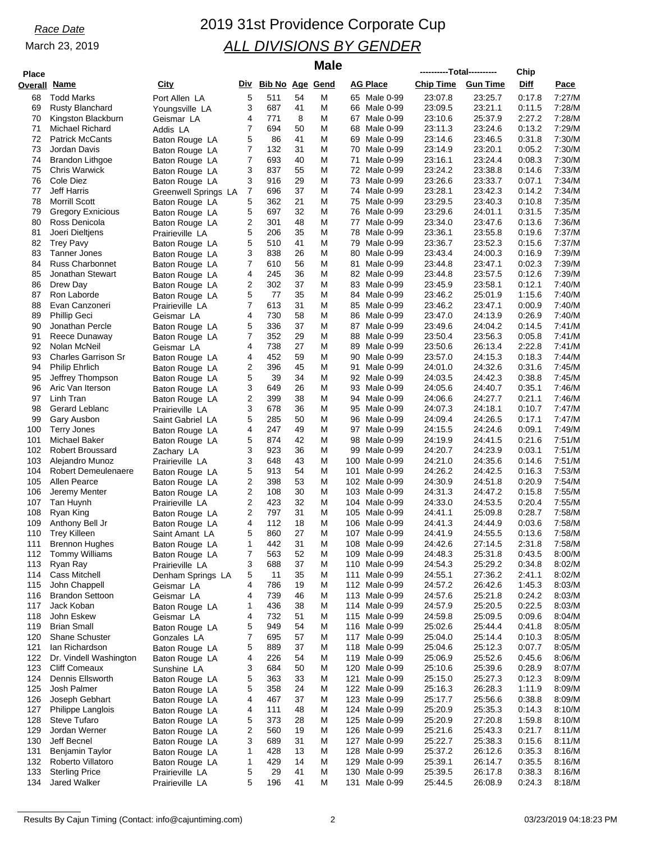| <b>Place</b> |                                                |                                  |        |                     |          | <b>Male</b> |          |                                | ----------Total---------- |                    | Chip             |                  |
|--------------|------------------------------------------------|----------------------------------|--------|---------------------|----------|-------------|----------|--------------------------------|---------------------------|--------------------|------------------|------------------|
| Overall      | Name                                           | City                             |        | Div Bib No Age Gend |          |             |          | <b>AG Place</b>                | <b>Chip Time</b>          | <b>Gun Time</b>    | Diff             | Pace             |
| 68           | <b>Todd Marks</b>                              | Port Allen LA                    | 5      | 511                 | 54       | M           |          | 65 Male 0-99                   | 23:07.8                   | 23:25.7            | 0:17.8           | 7:27/M           |
| 69           | <b>Rusty Blanchard</b>                         | Youngsville LA                   | 3      | 687                 | 41       | Μ           |          | 66 Male 0-99                   | 23:09.5                   | 23:21.1            | 0:11.5           | 7:28/M           |
| 70           | Kingston Blackburn                             | Geismar LA                       | 4      | 771                 | 8        | M           |          | 67 Male 0-99                   | 23:10.6                   | 25:37.9            | 2:27.2           | 7:28/M           |
| 71           | Michael Richard                                | Addis LA                         | 7      | 694                 | 50       | M           | 68       | Male 0-99                      | 23:11.3                   | 23:24.6            | 0:13.2           | 7:29/M           |
| 72           | <b>Patrick McCants</b>                         | Baton Rouge LA                   | 5      | 86                  | 41       | Μ           | 69       | Male 0-99                      | 23:14.6                   | 23:46.5            | 0:31.8           | 7:30/M           |
| 73           | Jordan Davis                                   | Baton Rouge LA                   | 7      | 132                 | 31       | M           | 70       | Male 0-99                      | 23:14.9                   | 23:20.1            | 0:05.2           | 7:30/M           |
| 74<br>75     | <b>Brandon Lithgoe</b><br><b>Chris Warwick</b> | Baton Rouge LA                   | 7<br>3 | 693<br>837          | 40<br>55 | M<br>M      | 71<br>72 | Male 0-99<br>Male 0-99         | 23:16.1<br>23:24.2        | 23:24.4<br>23:38.8 | 0:08.3<br>0:14.6 | 7:30/M<br>7:33/M |
| 76           | Cole Diez                                      | Baton Rouge LA<br>Baton Rouge LA | 3      | 916                 | 29       | M           | 73       | Male 0-99                      | 23:26.6                   | 23:33.7            | 0:07.1           | 7:34/M           |
| 77           | <b>Jeff Harris</b>                             | Greenwell Springs LA             | 7      | 696                 | 37       | Μ           |          | 74 Male 0-99                   | 23:28.1                   | 23:42.3            | 0:14.2           | 7:34/M           |
| 78           | <b>Morrill Scott</b>                           | Baton Rouge LA                   | 5      | 362                 | 21       | M           | 75       | Male 0-99                      | 23:29.5                   | 23:40.3            | 0:10.8           | 7:35/M           |
| 79           | <b>Gregory Exnicious</b>                       | Baton Rouge LA                   | 5      | 697                 | 32       | M           | 76       | Male 0-99                      | 23:29.6                   | 24:01.1            | 0:31.5           | 7:35/M           |
| 80           | Ross Denicola                                  | Baton Rouge LA                   | 2      | 301                 | 48       | Μ           | 77       | Male 0-99                      | 23:34.0                   | 23:47.6            | 0:13.6           | 7:36/M           |
| 81           | Joeri Dieltjens                                | Prairieville LA                  | 5      | 206                 | 35       | M           | 78       | Male 0-99                      | 23:36.1                   | 23:55.8            | 0:19.6           | 7:37/M           |
| 82           | <b>Trey Pavy</b>                               | Baton Rouge LA                   | 5      | 510                 | 41       | M           | 79       | Male 0-99                      | 23:36.7                   | 23:52.3            | 0:15.6           | 7:37/M           |
| 83           | <b>Tanner Jones</b>                            | Baton Rouge LA                   | 3      | 838                 | 26       | Μ           | 80       | Male 0-99                      | 23:43.4                   | 24:00.3            | 0:16.9           | 7:39/M           |
| 84<br>85     | <b>Russ Charbonnet</b><br>Jonathan Stewart     | Baton Rouge LA                   | 7<br>4 | 610<br>245          | 56<br>36 | M<br>Μ      | 81       | Male 0-99<br>82 Male 0-99      | 23:44.8<br>23:44.8        | 23:47.1<br>23:57.5 | 0:02.3<br>0:12.6 | 7:39/M<br>7:39/M |
| 86           | Drew Day                                       | Baton Rouge LA<br>Baton Rouge LA | 2      | 302                 | 37       | M           |          | 83 Male 0-99                   | 23:45.9                   | 23:58.1            | 0:12.1           | 7:40/M           |
| 87           | Ron Laborde                                    | Baton Rouge LA                   | 5      | 77                  | 35       | M           | 84       | Male 0-99                      | 23:46.2                   | 25:01.9            | 1:15.6           | 7:40/M           |
| 88           | Evan Canzoneri                                 | Prairieville LA                  | 7      | 613                 | 31       | Μ           | 85       | Male 0-99                      | 23:46.2                   | 23:47.1            | 0:00.9           | 7:40/M           |
| 89           | <b>Phillip Geci</b>                            | Geismar LA                       | 4      | 730                 | 58       | M           | 86       | Male 0-99                      | 23:47.0                   | 24:13.9            | 0:26.9           | 7:40/M           |
| 90           | Jonathan Percle                                | Baton Rouge LA                   | 5      | 336                 | 37       | M           | 87       | Male 0-99                      | 23:49.6                   | 24:04.2            | 0:14.5           | 7:41/M           |
| 91           | Reece Dunaway                                  | Baton Rouge LA                   | 7      | 352                 | 29       | Μ           | 88       | Male 0-99                      | 23:50.4                   | 23:56.3            | 0:05.8           | 7:41/M           |
| 92           | Nolan McNeil                                   | Geismar LA                       | 4      | 738                 | 27       | M           | 89       | Male 0-99                      | 23:50.6                   | 26:13.4            | 2:22.8           | 7:41/M           |
| 93           | <b>Charles Garrison Sr</b>                     | Baton Rouge LA                   | 4      | 452                 | 59       | Μ           | 90       | Male 0-99                      | 23:57.0                   | 24:15.3            | 0:18.3           | 7:44/M           |
| 94           | <b>Philip Ehrlich</b>                          | Baton Rouge LA                   | 2<br>5 | 396<br>39           | 45<br>34 | M<br>M      | 91       | Male 0-99                      | 24:01.0                   | 24:32.6            | 0:31.6<br>0:38.8 | 7:45/M           |
| 95<br>96     | Jeffrey Thompson<br>Aric Van Iterson           | Baton Rouge LA<br>Baton Rouge LA | 3      | 649                 | 26       | Μ           | 92<br>93 | Male 0-99<br>Male 0-99         | 24:03.5<br>24:05.6        | 24:42.3<br>24:40.7 | 0:35.1           | 7:45/M<br>7:46/M |
| 97           | Linh Tran                                      | Baton Rouge LA                   | 2      | 399                 | 38       | M           |          | 94 Male 0-99                   | 24:06.6                   | 24:27.7            | 0:21.1           | 7:46/M           |
| 98           | Gerard Leblanc                                 | Prairieville LA                  | 3      | 678                 | 36       | Μ           | 95       | Male 0-99                      | 24:07.3                   | 24:18.1            | 0:10.7           | 7:47/M           |
| 99           | Gary Ausbon                                    | Saint Gabriel LA                 | 5      | 285                 | 50       | Μ           | 96       | Male 0-99                      | 24:09.4                   | 24:26.5            | 0:17.1           | 7:47/M           |
| 100          | <b>Terry Jones</b>                             | Baton Rouge LA                   | 4      | 247                 | 49       | M           | 97       | Male 0-99                      | 24:15.5                   | 24:24.6            | 0:09.1           | 7:49/M           |
| 101          | Michael Baker                                  | Baton Rouge LA                   | 5      | 874                 | 42       | Μ           | 98       | Male 0-99                      | 24:19.9                   | 24:41.5            | 0:21.6           | 7:51/M           |
| 102          | <b>Robert Broussard</b>                        | Zachary LA                       | 3      | 923                 | 36       | Μ           | 99       | Male 0-99                      | 24:20.7                   | 24:23.9            | 0:03.1           | 7:51/M           |
| 103          | Alejandro Munoz                                | Prairieville LA                  | 3      | 648                 | 43       | M           | 100      | Male 0-99                      | 24:21.0                   | 24:35.6            | 0:14.6           | 7:51/M           |
| 104<br>105   | <b>Robert Demeulenaere</b><br>Allen Pearce     | Baton Rouge LA                   | 5<br>2 | 913<br>398          | 54<br>53 | Μ<br>M      | 101      | Male 0-99<br>102 Male 0-99     | 24:26.2<br>24:30.9        | 24:42.5<br>24:51.8 | 0:16.3<br>0:20.9 | 7:53/M<br>7:54/M |
| 106          | Jeremy Menter                                  | Baton Rouge LA<br>Baton Rouge LA | 2      | 108                 | 30       | M           | 103      | Male 0-99                      | 24:31.3                   | 24:47.2            | 0:15.8           | 7:55/M           |
| 107          | Tan Huynh                                      | Prairieville LA                  | 2      | 423                 | 32       | Μ           |          | 104 Male 0-99                  | 24:33.0                   | 24:53.5            | 0:20.4           | 7:55/M           |
| 108          | Ryan King                                      | Baton Rouge LA                   | 2      | 797                 | 31       | M           | 105      | Male 0-99                      | 24:41.1                   | 25:09.8            | 0:28.7           | 7:58/M           |
| 109          | Anthony Bell Jr                                | Baton Rouge LA                   | 4      | 112                 | 18       | Μ           | 106      | Male 0-99                      | 24:41.3                   | 24:44.9            | 0:03.6           | 7:58/M           |
| 110          | <b>Trey Killeen</b>                            | Saint Amant LA                   | 5      | 860                 | 27       | M           |          | 107 Male 0-99                  | 24:41.9                   | 24:55.5            | 0:13.6           | 7:58/M           |
| 111          | <b>Brennon Hughes</b>                          | Baton Rouge LA                   | 1      | 442                 | 31       | M           |          | 108 Male 0-99                  | 24:42.6                   | 27:14.5            | 2:31.8           | 7:58/M           |
| 112          | <b>Tommy Williams</b>                          | Baton Rouge LA                   | 7      | 563                 | 52       | M           | 109      | Male 0-99                      | 24:48.3                   | 25:31.8            | 0:43.5           | 8:00/M           |
| 113          | Ryan Ray                                       | Prairieville LA                  | 3      | 688                 | 37       | M           |          | 110 Male 0-99                  | 24:54.3                   | 25:29.2            | 0:34.8           | 8:02/M           |
| 114          | <b>Cass Mitchell</b><br>John Chappell          | Denham Springs LA                | 5<br>4 | 11<br>786           | 35       | M<br>Μ      | 111      | Male 0-99                      | 24:55.1<br>24:57.2        | 27:36.2            | 2:41.1           | 8:02/M<br>8:03/M |
| 115<br>116   | <b>Brandon Settoon</b>                         | Geismar LA<br>Geismar LA         | 4      | 739                 | 19<br>46 | M           |          | 112 Male 0-99<br>113 Male 0-99 | 24:57.6                   | 26:42.6<br>25:21.8 | 1:45.3<br>0:24.2 | 8:03/M           |
| 117          | Jack Koban                                     | Baton Rouge LA                   | 1      | 436                 | 38       | M           |          | 114 Male 0-99                  | 24:57.9                   | 25:20.5            | 0:22.5           | 8:03/M           |
| 118          | John Eskew                                     | Geismar LA                       | 4      | 732                 | 51       | M           |          | 115 Male 0-99                  | 24:59.8                   | 25:09.5            | 0.09.6           | 8:04/M           |
| 119          | <b>Brian Small</b>                             | Baton Rouge LA                   | 5      | 949                 | 54       | M           |          | 116 Male 0-99                  | 25:02.6                   | 25:44.4            | 0.41.8           | 8:05/M           |
| 120          | <b>Shane Schuster</b>                          | Gonzales LA                      | 7      | 695                 | 57       | M           |          | 117 Male 0-99                  | 25:04.0                   | 25:14.4            | 0:10.3           | 8:05/M           |
| 121          | lan Richardson                                 | Baton Rouge LA                   | 5      | 889                 | 37       | M           |          | 118 Male 0-99                  | 25:04.6                   | 25:12.3            | 0:07.7           | 8:05/M           |
| 122          | Dr. Vindell Washington                         | Baton Rouge LA                   | 4      | 226                 | 54       | M           | 119      | Male 0-99                      | 25:06.9                   | 25:52.6            | 0:45.6           | 8:06/M           |
| 123          | <b>Cliff Comeaux</b>                           | Sunshine LA                      | 3      | 684                 | 50       | M           |          | 120 Male 0-99                  | 25:10.6                   | 25:39.6            | 0:28.9           | 8:07/M           |
| 124          | Dennis Ellsworth                               | Baton Rouge LA                   | 5      | 363                 | 33       | M           | 121      | Male 0-99                      | 25:15.0                   | 25:27.3            | 0:12.3           | 8:09/M           |
| 125<br>126   | Josh Palmer<br>Joseph Gebhart                  | Baton Rouge LA                   | 5<br>4 | 358<br>467          | 24<br>37 | M<br>M      |          | 122 Male 0-99<br>123 Male 0-99 | 25:16.3<br>25:17.7        | 26:28.3<br>25:56.6 | 1:11.9<br>0:38.8 | 8:09/M<br>8:09/M |
| 127          | Philippe Langlois                              | Baton Rouge LA<br>Baton Rouge LA | 4      | 111                 | 48       | Μ           |          | 124 Male 0-99                  | 25:20.9                   | 25:35.3            | 0:14.3           | 8:10/M           |
| 128          | <b>Steve Tufaro</b>                            | Baton Rouge LA                   | 5      | 373                 | 28       | M           |          | 125 Male 0-99                  | 25:20.9                   | 27:20.8            | 1:59.8           | 8:10/M           |
| 129          | Jordan Werner                                  | Baton Rouge LA                   | 2      | 560                 | 19       | M           |          | 126 Male 0-99                  | 25:21.6                   | 25:43.3            | 0:21.7           | 8:11/M           |
| 130          | Jeff Becnel                                    | Baton Rouge LA                   | 3      | 689                 | 31       | M           |          | 127 Male 0-99                  | 25:22.7                   | 25:38.3            | 0:15.6           | 8:11/M           |
| 131          | Benjamin Taylor                                | Baton Rouge LA                   | 1      | 428                 | 13       | Μ           |          | 128 Male 0-99                  | 25:37.2                   | 26:12.6            | 0:35.3           | 8:16/M           |
| 132          | Roberto Villatoro                              | Baton Rouge LA                   | 1      | 429                 | 14       | M           |          | 129 Male 0-99                  | 25:39.1                   | 26:14.7            | 0:35.5           | 8:16/M           |
| 133          | <b>Sterling Price</b>                          | Prairieville LA                  | 5      | 29                  | 41       | M           | 130      | Male 0-99                      | 25:39.5                   | 26:17.8            | 0:38.3           | 8:16/M           |
| 134          | Jared Walker                                   | Prairieville LA                  | 5      | 196                 | 41       | М           | 131      | Male 0-99                      | 25:44.5                   | 26:08.9            | 0:24.3           | 8:18/M           |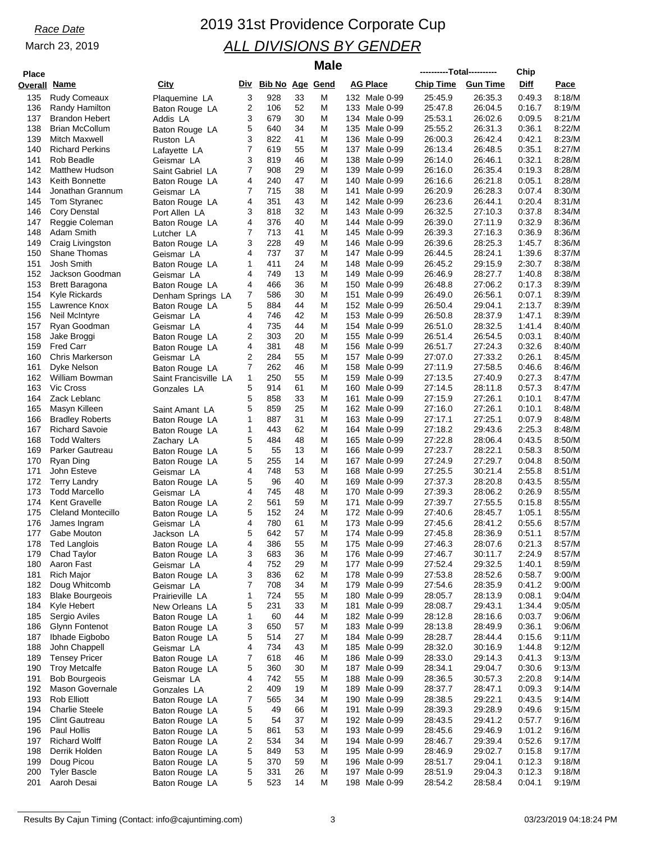## *Race Date* 2019 31st Providence Corporate Cup *ALL DIVISIONS BY GENDER*

| Place          |                        |
|----------------|------------------------|
| <b>Overall</b> | <u>Name</u>            |
|                |                        |
| 135            | Rudy Comeaux           |
| 136            | Randy Hamilton         |
| 137            | <b>Brandon Hebert</b>  |
| 138            | <b>Brian McCollum</b>  |
| 139            | Mitch Maxwell          |
| 140            | <b>Richard Perkins</b> |
|                |                        |
| 141            | Rob Beadle             |
| 142            | Matthew Hudson         |
| 143            | Keith Bonnette         |
| 144            | Jonathan Grannum       |
| 145            | Tom Styranec           |
|                |                        |
| 146            | Cory Denstal           |
| 147            | Reggie Coleman         |
| 148            | Adam Smith             |
| 149            | Craig Livingston       |
| 150            | Shane Thomas           |
|                |                        |
| 151            | Josh Smith             |
| 152            | Jackson Goodman        |
| 153            | <b>Brett Baragona</b>  |
| 154            | Kyle Rickards          |
| 155            | Lawrence Knox          |
| 156            |                        |
|                | Neil McIntyre          |
| 157            | Ryan Goodman           |
| 158            | Jake Broggi            |
| 159            | <b>Fred Carr</b>       |
| 160            | Chris Markerson        |
| 161            | Dyke Nelson            |
|                |                        |
| 162            | William Bowman         |
| 163            | <b>Vic Cross</b>       |
| 164            | Zack Leblanc           |
| 165            | Masyn Killeen          |
| 166            | <b>Bradley Roberts</b> |
| 167            | <b>Richard Savoie</b>  |
|                |                        |
| 168            | <b>Todd Walters</b>    |
| 169            | Parker Gautreau        |
| 170            | Ryan Ding              |
| 171            | John Esteve            |
| 172            | <b>Terry Landry</b>    |
| 173            | <b>Todd Marcello</b>   |
|                |                        |
| 174            | Kent Gravelle          |
| 175            | Cleland Montecillo     |
| 176            | James Ingram           |
| 177            | Gabe Mouton            |
| 178            | <b>Ted Langlois</b>    |
|                |                        |
| 179            | Chad Taylor            |
| 180            | Aaron Fast             |
| 181            | Rich Major             |
| 182            | Doug Whitcomb          |
| 183            | <b>Blake Bourgeois</b> |
| 184            | Kyle Hebert            |
|                |                        |
| 185            | Sergio Aviles          |
| 186            | Glynn Fontenot         |
| 187            | Ibhade Eigbobo         |
| 188            | John Chappell          |
| 189            | <b>Tensey Pricer</b>   |
|                | <b>Troy Metcalfe</b>   |
| 190            |                        |
| 191            | <b>Bob Bourgeois</b>   |
| 192            | Mason Governale        |
| 193            | <b>Rob Elliott</b>     |
| 194            | <b>Charlie Steele</b>  |
| 195            | <b>Clint Gautreau</b>  |
|                |                        |
| 196            | Paul Hollis            |
| 197            | <b>Richard Wolff</b>   |
| 108            | Derrik Holden          |

| Place      |                                                |                                  |                         |                     |          | <b>Male</b> |                                   | ----------Total---------- |                    | Chip             |                  |
|------------|------------------------------------------------|----------------------------------|-------------------------|---------------------|----------|-------------|-----------------------------------|---------------------------|--------------------|------------------|------------------|
|            | verall Name                                    | City                             |                         | Div Bib No Age Gend |          |             | AG Place                          | <b>Chip Time</b>          | <b>Gun Time</b>    | Diff             | <u>Pace</u>      |
| 135        | <b>Rudy Comeaux</b>                            | Plaquemine LA                    | 3                       | 928                 | 33       | Μ           | 132 Male 0-99                     | 25:45.9                   | 26:35.3            | 0:49.3           | 8:18/M           |
| 136        | Randy Hamilton                                 | Baton Rouge LA                   | 2                       | 106                 | 52       | Μ           | 133 Male 0-99                     | 25:47.8                   | 26:04.5            | 0:16.7           | 8:19/M           |
| 137<br>138 | Brandon Hebert<br><b>Brian McCollum</b>        | Addis LA<br>Baton Rouge LA       | 3<br>5                  | 679<br>640          | 30<br>34 | Μ<br>Μ      | 134 Male 0-99<br>135 Male 0-99    | 25:53.1<br>25:55.2        | 26:02.6<br>26:31.3 | 0:09.5<br>0:36.1 | 8:21/M<br>8:22/M |
| 139        | Mitch Maxwell                                  | Ruston LA                        | 3                       | 822                 | 41       | М           | 136 Male 0-99                     | 26:00.3                   | 26:42.4            | 0.42.1           | 8:23/M           |
| 140        | <b>Richard Perkins</b>                         | Lafayette LA                     | 7                       | 619                 | 55       | Μ           | 137<br>Male 0-99                  | 26:13.4                   | 26:48.5            | 0:35.1           | 8:27/M           |
| 141        | Rob Beadle                                     | Geismar LA                       | 3                       | 819                 | 46       | M           | 138 Male 0-99                     | 26:14.0                   | 26:46.1            | 0:32.1           | 8:28/M           |
| 142        | <b>Matthew Hudson</b>                          | Saint Gabriel LA                 | 7                       | 908                 | 29       | Μ           | 139 Male 0-99                     | 26:16.0                   | 26:35.4            | 0:19.3           | 8:28/M           |
| 143<br>144 | <b>Keith Bonnette</b><br>Jonathan Grannum      | Baton Rouge LA<br>Geismar LA     | 4<br>7                  | 240<br>715          | 47<br>38 | Μ<br>Μ      | 140<br>Male 0-99<br>141 Male 0-99 | 26:16.6<br>26:20.9        | 26:21.8<br>26:28.3 | 0:05.1<br>0:07.4 | 8:28/M<br>8:30/M |
| 145        | Tom Styranec                                   | Baton Rouge LA                   | 4                       | 351                 | 43       | Μ           | 142 Male 0-99                     | 26:23.6                   | 26:44.1            | 0:20.4           | 8:31/M           |
| 146        | Cory Denstal                                   | Port Allen LA                    | 3                       | 818                 | 32       | Μ           | 143 Male 0-99                     | 26:32.5                   | 27:10.3            | 0:37.8           | 8:34/M           |
| 147        | Reggie Coleman                                 | Baton Rouge LA                   | 4                       | 376                 | 40       | Μ           | 144 Male 0-99                     | 26:39.0                   | 27:11.9            | 0:32.9           | 8:36/M           |
| 148        | Adam Smith                                     | Lutcher LA                       | 7                       | 713                 | 41       | Μ           | 145 Male 0-99                     | 26:39.3                   | 27:16.3            | 0:36.9           | 8:36/M           |
| 149<br>150 | Craig Livingston<br><b>Shane Thomas</b>        | Baton Rouge LA                   | 3<br>4                  | 228<br>737          | 49<br>37 | M<br>Μ      | 146 Male 0-99<br>147 Male 0-99    | 26:39.6<br>26:44.5        | 28:25.3<br>28:24.1 | 1:45.7<br>1:39.6 | 8:36/M<br>8:37/M |
| 151        | Josh Smith                                     | Geismar LA<br>Baton Rouge LA     | 1                       | 411                 | 24       | Μ           | 148<br>Male 0-99                  | 26:45.2                   | 29:15.9            | 2:30.7           | 8:38/M           |
| 152        | Jackson Goodman                                | Geismar LA                       | 4                       | 749                 | 13       | Μ           | 149 Male 0-99                     | 26:46.9                   | 28:27.7            | 1:40.8           | 8:38/M           |
| 153        | <b>Brett Baragona</b>                          | Baton Rouge LA                   | 4                       | 466                 | 36       | Μ           | 150 Male 0-99                     | 26:48.8                   | 27:06.2            | 0:17.3           | 8:39/M           |
| 154        | Kyle Rickards                                  | Denham Springs LA                | 7                       | 586                 | 30       | Μ           | 151<br>Male 0-99                  | 26:49.0                   | 26:56.1            | 0:07.1           | 8:39/M           |
| 155        | Lawrence Knox                                  | Baton Rouge LA                   | 5                       | 884                 | 44       | Μ           | 152 Male 0-99                     | 26:50.4                   | 29:04.1            | 2:13.7           | 8:39/M           |
| 156<br>157 | Neil McIntyre<br>Ryan Goodman                  | Geismar LA                       | 4<br>4                  | 746<br>735          | 42<br>44 | Μ<br>M      | 153 Male 0-99<br>154 Male 0-99    | 26:50.8<br>26:51.0        | 28:37.9<br>28:32.5 | 1:47.1<br>1:41.4 | 8:39/M<br>8:40/M |
| 158        | Jake Broggi                                    | Geismar LA<br>Baton Rouge LA     | 2                       | 303                 | 20       | Μ           | 155 Male 0-99                     | 26:51.4                   | 26:54.5            | 0:03.1           | 8:40/M           |
| 159        | <b>Fred Carr</b>                               | Baton Rouge LA                   | 4                       | 381                 | 48       | Μ           | 156<br>Male 0-99                  | 26:51.7                   | 27:24.3            | 0.32.6           | 8:40/M           |
| 160        | <b>Chris Markerson</b>                         | Geismar LA                       | 2                       | 284                 | 55       | Μ           | 157 Male 0-99                     | 27:07.0                   | 27:33.2            | 0:26.1           | 8:45/M           |
| 161        | Dyke Nelson                                    | Baton Rouge LA                   | 7                       | 262                 | 46       | Μ           | 158 Male 0-99                     | 27:11.9                   | 27:58.5            | 0.46.6           | 8:46/M           |
| 162        | William Bowman                                 | Saint Francisville LA            | 1                       | 250                 | 55       | M           | 159 Male 0-99                     | 27:13.5                   | 27:40.9            | 0:27.3           | 8:47/M           |
| 163<br>164 | <b>Vic Cross</b><br>Zack Leblanc               | Gonzales LA                      | 5<br>5                  | 914<br>858          | 61<br>33 | Μ<br>Μ      | 160 Male 0-99<br>161<br>Male 0-99 | 27:14.5<br>27:15.9        | 28:11.8<br>27:26.1 | 0:57.3<br>0:10.1 | 8:47/M<br>8:47/M |
| 165        | Masyn Killeen                                  | Saint Amant LA                   | 5                       | 859                 | 25       | M           | 162 Male 0-99                     | 27:16.0                   | 27:26.1            | 0:10.1           | 8:48/M           |
| 166        | <b>Bradley Roberts</b>                         | Baton Rouge LA                   | 1                       | 887                 | 31       | Μ           | 163 Male 0-99                     | 27:17.1                   | 27:25.1            | 0:07.9           | 8:48/M           |
| 167        | <b>Richard Savoie</b>                          | Baton Rouge LA                   | 1                       | 443                 | 62       | Μ           | 164 Male 0-99                     | 27:18.2                   | 29:43.6            | 2:25.3           | 8:48/M           |
| 168        | <b>Todd Walters</b>                            | Zachary LA                       | 5                       | 484                 | 48       | Μ           | 165 Male 0-99                     | 27:22.8                   | 28:06.4            | 0:43.5           | 8:50/M           |
| 169        | Parker Gautreau                                | Baton Rouge LA                   | 5                       | 55                  | 13       | Μ           | 166 Male 0-99                     | 27:23.7                   | 28:22.1            | 0:58.3           | 8:50/M           |
| 170<br>171 | Ryan Ding<br>John Esteve                       | Baton Rouge LA                   | 5<br>4                  | 255<br>748          | 14<br>53 | Μ<br>Μ      | 167 Male 0-99<br>168 Male 0-99    | 27:24.9<br>27:25.5        | 27:29.7<br>30:21.4 | 0:04.8<br>2:55.8 | 8:50/M<br>8:51/M |
| 172        | <b>Terry Landry</b>                            | Geismar LA<br>Baton Rouge LA     | 5                       | 96                  | 40       | Μ           | 169 Male 0-99                     | 27:37.3                   | 28:20.8            | 0:43.5           | 8:55/M           |
| 173        | <b>Todd Marcello</b>                           | Geismar LA                       | 4                       | 745                 | 48       | M           | 170<br>Male 0-99                  | 27:39.3                   | 28:06.2            | 0:26.9           | 8:55/M           |
| 174        | <b>Kent Gravelle</b>                           | Baton Rouge LA                   | 2                       | 561                 | 59       | Μ           | 171<br>Male 0-99                  | 27:39.7                   | 27:55.5            | 0:15.8           | 8:55/M           |
| 175        | <b>Cleland Montecillo</b>                      | Baton Rouge LA                   | 5                       | 152                 | 24       | М           | 172<br>Male 0-99                  | 27:40.6                   | 28:45.7            | 1:05.1           | 8:55/M           |
| 176        | James Ingram                                   | Geismar LA                       | 4                       | 780                 | 61       | Μ           | 173 Male 0-99                     | 27:45.6                   | 28:41.2            | 0.55.6           | 8:57/M           |
| 177<br>178 | Gabe Mouton<br><b>Ted Langlois</b>             | Jackson LA                       | 5<br>4                  | 642<br>386          | 57<br>55 | М<br>Μ      | 174 Male 0-99<br>175 Male 0-99    | 27:45.8<br>27:46.3        | 28:36.9<br>28:07.6 | 0:51.1<br>0.21.3 | 8:57/M<br>8:57/M |
| 179        | Chad Taylor                                    | Baton Rouge LA<br>Baton Rouge LA | 3                       | 683                 | 36       | Μ           | 176 Male 0-99                     | 27:46.7                   | 30:11.7            | 2:24.9           | 8:57/M           |
| 180        | Aaron Fast                                     | Geismar LA                       | 4                       | 752                 | 29       | Μ           | 177<br>Male 0-99                  | 27:52.4                   | 29:32.5            | 1:40.1           | 8:59/M           |
| 181        | <b>Rich Major</b>                              | Baton Rouge LA                   | 3                       | 836                 | 62       | M           | 178 Male 0-99                     | 27:53.8                   | 28:52.6            | 0:58.7           | 9:00/M           |
| 182        | Doug Whitcomb                                  | Geismar LA                       | 7                       | 708                 | 34       | Μ           | 179 Male 0-99                     | 27:54.6                   | 28:35.9            | 0.41.2           | 9:00/M           |
| 183        | <b>Blake Bourgeois</b>                         | Prairieville LA                  | $\mathbf 1$             | 724                 | 55       | Μ           | 180<br>Male 0-99                  | 28:05.7                   | 28:13.9            | 0.08.1           | 9:04/M           |
| 184<br>185 | Kyle Hebert<br>Sergio Aviles                   | New Orleans LA<br>Baton Rouge LA | 5<br>1                  | 231<br>60           | 33<br>44 | Μ<br>Μ      | 181 Male 0-99<br>182 Male 0-99    | 28:08.7<br>28:12.8        | 29:43.1<br>28:16.6 | 1:34.4<br>0:03.7 | 9:05/M<br>9:06/M |
| 186        | Glynn Fontenot                                 | Baton Rouge LA                   | 3                       | 650                 | 57       | Μ           | 183 Male 0-99                     | 28:13.8                   | 28:49.9            | 0:36.1           | 9:06/M           |
| 187        | Ibhade Eigbobo                                 | Baton Rouge LA                   | 5                       | 514                 | 27       | Μ           | 184 Male 0-99                     | 28:28.7                   | 28:44.4            | 0.15.6           | 9:11/M           |
| 188        | John Chappell                                  | Geismar LA                       | 4                       | 734                 | 43       | Μ           | 185 Male 0-99                     | 28:32.0                   | 30:16.9            | 1:44.8           | 9:12/M           |
| 189        | <b>Tensey Pricer</b>                           | Baton Rouge LA                   | 7                       | 618                 | 46       | Μ           | 186 Male 0-99                     | 28:33.0                   | 29:14.3            | 0.41.3           | 9:13/M           |
| 190        | <b>Troy Metcalfe</b>                           | Baton Rouge LA                   | 5                       | 360                 | 30       | Μ           | 187 Male 0-99                     | 28:34.1                   | 29:04.7            | 0.30.6           | 9:13/M           |
| 191<br>192 | <b>Bob Bourgeois</b><br><b>Mason Governale</b> | Geismar LA                       | 4<br>2                  | 742<br>409          | 55<br>19 | Μ<br>Μ      | 188 Male 0-99<br>189 Male 0-99    | 28:36.5<br>28:37.7        | 30:57.3<br>28:47.1 | 2:20.8<br>0:09.3 | 9:14/M<br>9:14/M |
| 193        | <b>Rob Elliott</b>                             | Gonzales LA<br>Baton Rouge LA    | 7                       | 565                 | 34       | Μ           | 190 Male 0-99                     | 28:38.5                   | 29:22.1            | 0:43.5           | 9:14/M           |
| 194        | <b>Charlie Steele</b>                          | Baton Rouge LA                   | 5                       | 49                  | 66       | Μ           | 191<br>Male 0-99                  | 28:39.3                   | 29:28.9            | 0.49.6           | 9:15/M           |
| 195        | <b>Clint Gautreau</b>                          | Baton Rouge LA                   | 5                       | 54                  | 37       | Μ           | 192 Male 0-99                     | 28:43.5                   | 29:41.2            | 0.57.7           | 9:16/M           |
| 196        | Paul Hollis                                    | Baton Rouge LA                   | 5                       | 861                 | 53       | Μ           | 193 Male 0-99                     | 28:45.6                   | 29:46.9            | 1:01.2           | 9:16/M           |
| 197        | <b>Richard Wolff</b>                           | Baton Rouge LA                   | $\overline{\mathbf{c}}$ | 534                 | 34       | M           | 194 Male 0-99                     | 28:46.7                   | 29:39.4            | 0.52.6           | 9:17/M           |
| 198<br>199 | Derrik Holden<br>Doug Picou                    | Baton Rouge LA                   | 5<br>5                  | 849<br>370          | 53<br>59 | Μ<br>Μ      | 195 Male 0-99<br>196 Male 0-99    | 28:46.9<br>28:51.7        | 29:02.7<br>29:04.1 | 0:15.8<br>0.12.3 | 9:17/M<br>9:18/M |
| 200        | <b>Tyler Bascle</b>                            | Baton Rouge LA<br>Baton Rouge LA | 5                       | 331                 | 26       | Μ           | 197 Male 0-99                     | 28:51.9                   | 29:04.3            | 0.12.3           | 9:18/M           |
| 201        | Aaroh Desai                                    | Baton Rouge LA                   | 5                       | 523                 | 14       | Μ           | 198 Male 0-99                     | 28:54.2                   | 28:58.4            | 0:04.1           | 9:19/M           |
|            |                                                |                                  |                         |                     |          |             |                                   |                           |                    |                  |                  |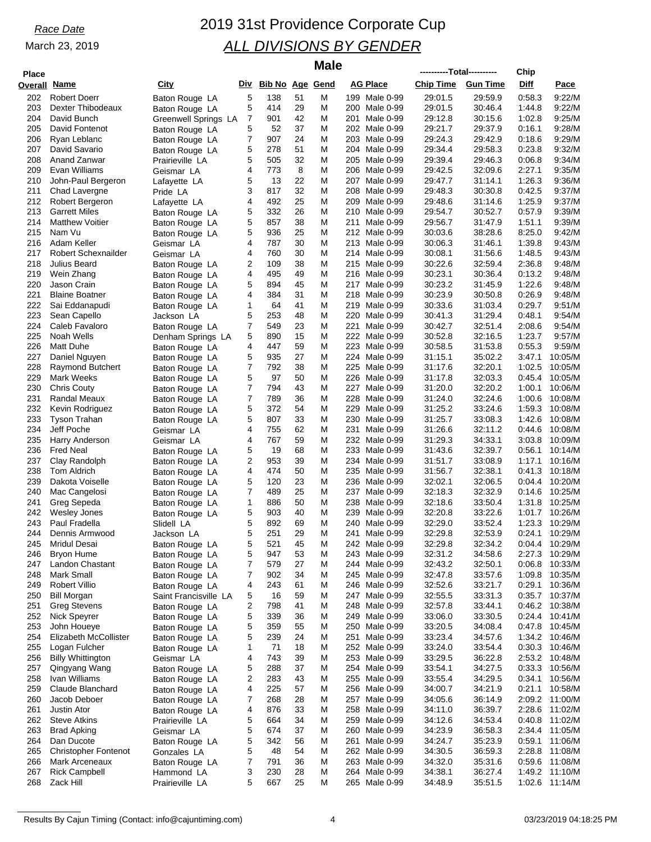| <b>Place</b> |                                           |                               |        |                     |          | <b>Male</b> |                                      | ----------Total---------- |                    | Chip             |                    |
|--------------|-------------------------------------------|-------------------------------|--------|---------------------|----------|-------------|--------------------------------------|---------------------------|--------------------|------------------|--------------------|
| Overall      | <u>Name</u>                               | <b>City</b>                   |        | Div Bib No Age Gend |          |             | AG Place                             | <b>Chip Time</b>          | <b>Gun Time</b>    | Diff             | Pace               |
| 202          | <b>Robert Doerr</b>                       | Baton Rouge LA                | 5      | 138                 | 51       | Μ           | 199 Male 0-99                        | 29:01.5                   | 29:59.9            | 0:58.3           | 9:22/M             |
| 203          | Dexter Thibodeaux                         | Baton Rouge LA                | 5      | 414                 | 29       | M           | 200 Male 0-99                        | 29:01.5                   | 30:46.4            | 1:44.8           | 9:22/M             |
| 204          | David Bunch                               | Greenwell Springs LA          | 7      | 901                 | 42       | M           | 201<br>Male 0-99                     | 29:12.8                   | 30:15.6            | 1:02.8           | 9:25/M             |
| 205          | David Fontenot                            | Baton Rouge LA                | 5      | 52                  | 37       | M           | 202 Male 0-99                        | 29:21.7                   | 29:37.9            | 0:16.1           | 9:28/M             |
| 206          | Ryan Leblanc                              | Baton Rouge LA                | 7      | 907                 | 24       | М           | 203<br>Male 0-99                     | 29:24.3                   | 29:42.9            | 0.18.6           | 9:29/M             |
| 207          | David Savario                             | Baton Rouge LA                | 5      | 278                 | 51       | M           | 204 Male 0-99                        | 29:34.4                   | 29:58.3            | 0.23.8           | 9:32/M             |
| 208<br>209   | Anand Zanwar<br>Evan Williams             | Prairieville LA               | 5<br>4 | 505<br>773          | 32<br>8  | M<br>Μ      | 205<br>Male 0-99<br>206 Male 0-99    | 29:39.4<br>29:42.5        | 29:46.3<br>32:09.6 | 0:06.8<br>2:27.1 | 9:34/M<br>9:35/M   |
| 210          | John-Paul Bergeron                        | Geismar LA<br>Lafayette LA    | 5      | 13                  | 22       | M           | 207<br>Male 0-99                     | 29:47.7                   | 31:14.1            | 1:26.3           | 9:36/M             |
| 211          | Chad Lavergne                             | Pride LA                      | 3      | 817                 | 32       | Μ           | 208<br>Male 0-99                     | 29:48.3                   | 30:30.8            | 0:42.5           | 9:37/M             |
| 212          | Robert Bergeron                           | Lafayette LA                  | 4      | 492                 | 25       | M           | 209<br>Male 0-99                     | 29:48.6                   | 31:14.6            | 1:25.9           | 9:37/M             |
| 213          | <b>Garrett Miles</b>                      | Baton Rouge LA                | 5      | 332                 | 26       | M           | 210<br>Male 0-99                     | 29:54.7                   | 30:52.7            | 0.57.9           | 9:39/M             |
| 214          | <b>Matthew Voitier</b>                    | Baton Rouge LA                | 5      | 857                 | 38       | Μ           | 211<br>Male 0-99                     | 29:56.7                   | 31:47.9            | 1:51.1           | 9:39/M             |
| 215          | Nam Vu                                    | Baton Rouge LA                | 5      | 936                 | 25       | M           | 212 Male 0-99                        | 30:03.6                   | 38:28.6            | 8:25.0           | 9:42/M             |
| 216          | Adam Keller                               | Geismar LA                    | 4      | 787                 | 30       | M           | 213<br>Male 0-99                     | 30:06.3                   | 31:46.1            | 1:39.8           | 9:43/M             |
| 217          | Robert Schexnailder                       | Geismar LA                    | 4      | 760                 | 30       | Μ           | 214 Male 0-99                        | 30:08.1                   | 31:56.6            | 1:48.5           | 9:43/M             |
| 218          | Julius Beard                              | Baton Rouge LA                | 2      | 109                 | 38       | M           | 215<br>Male 0-99                     | 30:22.6                   | 32:59.4            | 2:36.8           | 9:48/M             |
| 219          | Wein Zhang                                | Baton Rouge LA                | 4      | 495                 | 49       | Μ           | 216<br>Male 0-99                     | 30:23.1                   | 30:36.4            | 0:13.2           | 9:48/M             |
| 220          | Jason Crain                               | Baton Rouge LA                | 5<br>4 | 894                 | 45<br>31 | M<br>M      | 217 Male 0-99                        | 30:23.2<br>30:23.9        | 31:45.9            | 1:22.6<br>0.26.9 | 9:48/M             |
| 221<br>222   | <b>Blaine Boatner</b><br>Sai Eddanapudi   | Baton Rouge LA                | 1      | 384<br>64           | 41       | Μ           | 218<br>Male 0-99<br>219<br>Male 0-99 | 30:33.6                   | 30:50.8<br>31:03.4 | 0:29.7           | 9:48/M<br>9:51/M   |
| 223          | Sean Capello                              | Baton Rouge LA<br>Jackson LA  | 5      | 253                 | 48       | M           | 220<br>Male 0-99                     | 30:41.3                   | 31:29.4            | 0:48.1           | 9:54/M             |
| 224          | Caleb Favaloro                            | Baton Rouge LA                | 7      | 549                 | 23       | M           | 221<br>Male 0-99                     | 30:42.7                   | 32:51.4            | 2:08.6           | 9:54/M             |
| 225          | Noah Wells                                | Denham Springs LA             | 5      | 890                 | 15       | Μ           | 222 Male 0-99                        | 30:52.8                   | 32:16.5            | 1:23.7           | 9:57/M             |
| 226          | Matt Duhe                                 | Baton Rouge LA                | 4      | 447                 | 59       | M           | 223<br>Male 0-99                     | 30:58.5                   | 31:53.8            | 0:55.3           | 9:59/M             |
| 227          | Daniel Nguyen                             | Baton Rouge LA                | 5      | 935                 | 27       | Μ           | 224 Male 0-99                        | 31:15.1                   | 35:02.2            | 3:47.1           | 10:05/M            |
| 228          | <b>Raymond Butchert</b>                   | Baton Rouge LA                | 7      | 792                 | 38       | M           | 225 Male 0-99                        | 31:17.6                   | 32:20.1            | 1:02.5           | 10:05/M            |
| 229          | Mark Weeks                                | Baton Rouge LA                | 5      | 97                  | 50       | M           | 226<br>Male 0-99                     | 31:17.8                   | 32:03.3            | 0:45.4           | 10:05/M            |
| 230          | <b>Chris Couty</b>                        | Baton Rouge LA                | 7      | 794                 | 43       | М           | 227<br>Male 0-99                     | 31:20.0                   | 32:20.2            | 1:00.1           | 10:06/M            |
| 231          | Randal Meaux                              | Baton Rouge LA                | 7      | 789                 | 36       | M           | 228<br>Male 0-99                     | 31:24.0                   | 32:24.6            | 1:00.6           | 10:08/M            |
| 232          | Kevin Rodriguez                           | Baton Rouge LA                | 5      | 372                 | 54       | M           | 229<br>Male 0-99                     | 31:25.2                   | 33:24.6            | 1:59.3           | 10:08/M            |
| 233<br>234   | Tyson Trahan<br>Jeff Poche                | Baton Rouge LA                | 5<br>4 | 807<br>755          | 33<br>62 | Μ<br>M      | 230<br>Male 0-99<br>231<br>Male 0-99 | 31:25.7<br>31:26.6        | 33:08.3<br>32:11.2 | 1:42.6<br>0:44.6 | 10:08/M<br>10:08/M |
| 235          | Harry Anderson                            | Geismar LA<br>Geismar LA      | 4      | 767                 | 59       | Μ           | 232 Male 0-99                        | 31:29.3                   | 34:33.1            | 3:03.8           | 10:09/M            |
| 236          | <b>Fred Neal</b>                          | Baton Rouge LA                | 5      | 19                  | 68       | M           | 233 Male 0-99                        | 31:43.6                   | 32:39.7            | 0.56.1           | 10:14/M            |
| 237          | Clay Randolph                             | Baton Rouge LA                | 2      | 953                 | 39       | M           | 234 Male 0-99                        | 31:51.7                   | 33:08.9            | 1:17.1           | 10:16/M            |
| 238          | <b>Tom Aldrich</b>                        | Baton Rouge LA                | 4      | 474                 | 50       | М           | 235<br>Male 0-99                     | 31:56.7                   | 32:38.1            | 0:41.3           | 10:18/M            |
| 239          | Dakota Voiselle                           | Baton Rouge LA                | 5      | 120                 | 23       | M           | 236<br>Male 0-99                     | 32:02.1                   | 32:06.5            | 0:04.4           | 10:20/M            |
| 240          | Mac Cangelosi                             | Baton Rouge LA                | 7      | 489                 | 25       | Μ           | 237<br>Male 0-99                     | 32:18.3                   | 32:32.9            | 0:14.6           | 10:25/M            |
| 241          | Greg Sepeda                               | Baton Rouge LA                | 1      | 886                 | 50       | Μ           | 238<br>Male 0-99                     | 32:18.6                   | 33:50.4            | 1:31.8           | 10:25/M            |
| 242          | <b>Wesley Jones</b>                       | Baton Rouge LA                | 5      | 903                 | 40       | M           | 239<br>Male 0-99                     | 32:20.8                   | 33.22.6            | 1:01.7           | 10:26/M            |
| 243<br>244   | Paul Fradella                             | Slidell LA                    | 5<br>5 | 892                 | 69<br>29 | Μ<br>М      | 240<br>Male 0-99                     | 32:29.0                   | 33.52.4            | 1:23.3           | 10:29/M            |
| 245          | Dennis Armwood<br>Mridul Desai            | Jackson LA<br>Baton Rouge LA  | 5      | 251<br>521          | 45       | M           | 241<br>Male 0-99<br>242 Male 0-99    | 32:29.8<br>32:29.8        | 32:53.9<br>32:34.2 | 0:24.1<br>0:04.4 | 10:29/M<br>10:29/M |
| 246          | Bryon Hume                                | Baton Rouge LA                | 5      | 947                 | 53       | M           | 243<br>Male 0-99                     | 32:31.2                   | 34.58.6            | 2:27.3           | 10:29/M            |
| 247          | Landon Chastant                           | Baton Rouge LA                | 7      | 579                 | 27       | M           | 244 Male 0-99                        | 32:43.2                   | 32:50.1            | 0:06.8           | 10:33/M            |
| 248          | Mark Small                                | Baton Rouge LA                | 7      | 902                 | 34       | M           | 245 Male 0-99                        | 32:47.8                   | 33:57.6            | 1:09.8           | 10:35/M            |
| 249          | <b>Robert Villio</b>                      | Baton Rouge LA                | 4      | 243                 | 61       | Μ           | 246 Male 0-99                        | 32:52.6                   | 33.21.7            | 0:29.1           | 10:36/M            |
| 250          | <b>Bill Morgan</b>                        | Saint Francisville LA         | 5      | 16                  | 59       | M           | 247<br>Male 0-99                     | 32:55.5                   | 33:31.3            | 0.35.7           | 10:37/M            |
| 251          | <b>Greg Stevens</b>                       | Baton Rouge LA                | 2      | 798                 | 41       | M           | 248<br>Male 0-99                     | 32:57.8                   | 33:44.1            | 0.46.2           | 10:38/M            |
| 252          | Nick Speyrer                              | Baton Rouge LA                | 5      | 339                 | 36       | M           | Male 0-99<br>249                     | 33:06.0                   | 33:30.5            | 0:24.4           | 10:41/M            |
| 253          | John Houeye                               | Baton Rouge LA                | 5      | 359                 | 55       | M           | 250<br>Male 0-99                     | 33:20.5                   | 34:08.4            | 0.47.8           | 10:45/M            |
| 254          | Elizabeth McCollister                     | Baton Rouge LA                | 5      | 239                 | 24       | M           | 251<br>Male 0-99                     | 33:23.4                   | 34:57.6            |                  | 1:34.2 10:46/M     |
| 255<br>256   | Logan Fulcher<br><b>Billy Whittington</b> | Baton Rouge LA                | 1<br>4 | 71<br>743           | 18<br>39 | M<br>M      | 252 Male 0-99<br>253 Male 0-99       | 33:24.0<br>33:29.5        | 33.54.4<br>36:22.8 | 0:30.3<br>2:53.2 | 10:46/M<br>10:48/M |
| 257          | Qingyang Wang                             | Geismar LA<br>Baton Rouge LA  | 5      | 288                 | 37       | Μ           | 254 Male 0-99                        | 33:54.1                   | 34:27.5            | 0:33.3           | 10:56/M            |
| 258          | Ivan Williams                             | Baton Rouge LA                | 2      | 283                 | 43       | M           | 255 Male 0-99                        | 33:55.4                   | 34.29.5            | 0:34.1           | 10:56/M            |
| 259          | Claude Blanchard                          | Baton Rouge LA                | 4      | 225                 | 57       | M           | 256<br>Male 0-99                     | 34:00.7                   | 34:21.9            | 0:21.1           | 10:58/M            |
| 260          | Jacob Deboer                              | Baton Rouge LA                | 7      | 268                 | 28       | Μ           | 257 Male 0-99                        | 34:05.6                   | 36:14.9            | 2:09.2           | 11:00/M            |
| 261          | <b>Justin Ator</b>                        | Baton Rouge LA                | 4      | 876                 | 33       | Μ           | 258<br>Male 0-99                     | 34:11.0                   | 36:39.7            | 2:28.6           | 11:02/M            |
| 262          | <b>Steve Atkins</b>                       | Prairieville LA               | 5      | 664                 | 34       | Μ           | 259 Male 0-99                        | 34:12.6                   | 34.53.4            | 0.40.8           | 11:02/M            |
| 263          | <b>Brad Apking</b>                        | Geismar LA                    | 5      | 674                 | 37       | M           | 260 Male 0-99                        | 34:23.9                   | 36.58.3            | 2:34.4           | 11:05/M            |
| 264          | Dan Ducote                                | Baton Rouge LA                | 5      | 342                 | 56       | Μ           | 261<br>Male 0-99                     | 34:24.7                   | 35:23.9            | 0:59.1           | 11:06/M            |
| 265          | <b>Christopher Fontenot</b>               | Gonzales LA                   | 5      | 48                  | 54       | Μ           | 262 Male 0-99                        | 34:30.5                   | 36.59.3            | 2:28.8           | 11:08/M            |
| 266<br>267   | Mark Arceneaux<br><b>Rick Campbell</b>    | Baton Rouge LA                | 7      | 791<br>230          | 36<br>28 | M           | 263 Male 0-99<br>264 Male 0-99       | 34:32.0<br>34:38.1        | 35:31.6<br>36:27.4 | 0.59.6<br>1:49.2 | 11:08/M<br>11:10/M |
| 268          | Zack Hill                                 | Hammond LA<br>Prairieville LA | 3<br>5 | 667                 | 25       | M<br>Μ      | 265 Male 0-99                        | 34:48.9                   | 35:51.5            | 1:02.6           | 11:14/M            |
|              |                                           |                               |        |                     |          |             |                                      |                           |                    |                  |                    |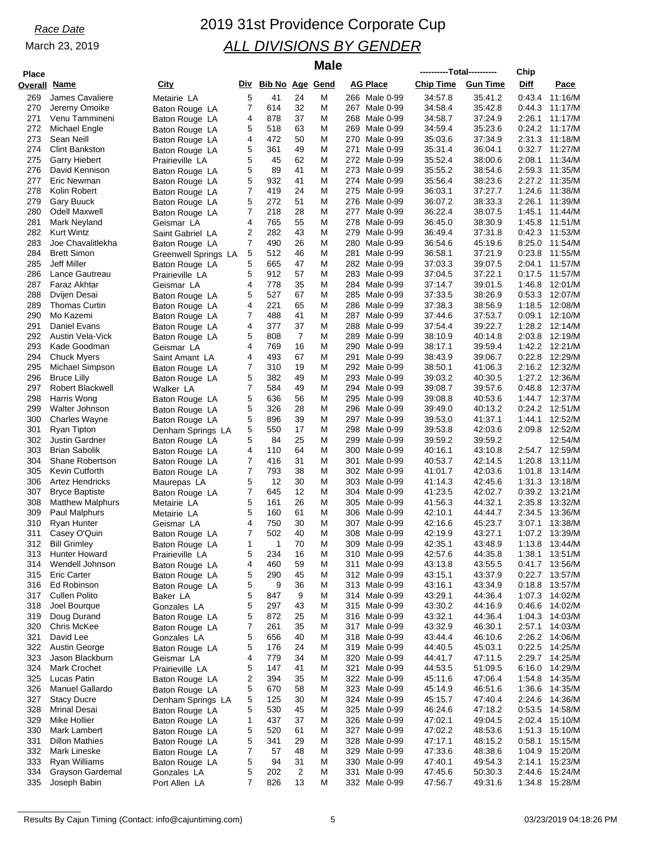| <b>Place</b> |                                                 |                                  |        |                     |                      | <b>Male</b> |                                      | ----------Total---------- |                    | Chip             |                    |
|--------------|-------------------------------------------------|----------------------------------|--------|---------------------|----------------------|-------------|--------------------------------------|---------------------------|--------------------|------------------|--------------------|
| Overall Name |                                                 | City                             |        | Div Bib No Age Gend |                      |             | AG Place                             | <b>Chip Time</b>          | <b>Gun Time</b>    | Diff             | Pace               |
| 269          | James Cavaliere                                 | Metairie LA                      | 5      | 41                  | 24                   | M           | 266 Male 0-99                        | 34:57.8                   | 35:41.2            | 0:43.4           | 11:16/M            |
| 270          | Jeremy Omoike                                   | Baton Rouge LA                   | 7      | 614                 | 32                   | Μ           | 267 Male 0-99                        | 34:58.4                   | 35:42.8            | 0:44.3           | 11:17/M            |
| 271          | Venu Tammineni                                  | Baton Rouge LA                   | 4      | 878                 | 37                   | M           | 268 Male 0-99                        | 34:58.7                   | 37:24.9            | 2:26.1           | 11:17/M            |
| 272          | Michael Engle                                   | Baton Rouge LA                   | 5      | 518                 | 63                   | M           | 269<br>Male 0-99                     | 34:59.4                   | 35:23.6            | 0:24.2           | 11:17/M            |
| 273          | Sean Neill                                      | Baton Rouge LA                   | 4      | 472                 | 50                   | Μ           | 270<br>Male 0-99                     | 35:03.6                   | 37:34.9            | 2:31.3           | 11:18/M            |
| 274          | <b>Clint Bankston</b>                           | Baton Rouge LA                   | 5      | 361                 | 49                   | M           | 271<br>Male 0-99                     | 35:31.4                   | 36:04.1            | 0:32.7           | 11:27/M            |
| 275          | <b>Garry Hiebert</b>                            | Prairieville LA                  | 5      | 45                  | 62                   | M           | 272<br>Male 0-99                     | 35:52.4                   | 38:00.6            | 2:08.1           | 11:34/M            |
| 276<br>277   | David Kennison<br>Eric Newman                   | Baton Rouge LA                   | 5<br>5 | 89<br>932           | 41<br>41             | M<br>M      | 273<br>Male 0-99<br>274<br>Male 0-99 | 35:55.2<br>35:56.4        | 38:54.6<br>38:23.6 | 2:59.3<br>2:27.2 | 11:35/M<br>11:35/M |
| 278          | Kolin Robert                                    | Baton Rouge LA<br>Baton Rouge LA | 7      | 419                 | 24                   | Μ           | 275<br>Male 0-99                     | 36:03.1                   | 37:27.7            | 1:24.6           | 11:38/M            |
| 279          | <b>Gary Buuck</b>                               | Baton Rouge LA                   | 5      | 272                 | 51                   | M           | 276<br>Male 0-99                     | 36:07.2                   | 38:33.3            | 2:26.1           | 11:39/M            |
| 280          | <b>Odell Maxwell</b>                            | Baton Rouge LA                   | 7      | 218                 | 28                   | M           | 277<br>Male 0-99                     | 36:22.4                   | 38:07.5            | 1:45.1           | 11:44/M            |
| 281          | Mark Neyland                                    | Geismar LA                       | 4      | 765                 | 55                   | Μ           | 278<br>Male 0-99                     | 36:45.0                   | 38:30.9            | 1:45.8           | 11:51/M            |
| 282          | <b>Kurt Wintz</b>                               | Saint Gabriel LA                 | 2      | 282                 | 43                   | M           | 279<br>Male 0-99                     | 36:49.4                   | 37:31.8            | 0:42.3           | 11:53/M            |
| 283          | Joe Chavalitlekha                               | Baton Rouge LA                   | 7      | 490                 | 26                   | M           | 280<br>Male 0-99                     | 36:54.6                   | 45:19.6            | 8:25.0           | 11:54/M            |
| 284          | <b>Brett Simon</b>                              | Greenwell Springs LA             | 5      | 512                 | 46                   | Μ           | 281<br>Male 0-99                     | 36:58.1                   | 37:21.9            | 0:23.8           | 11:55/M            |
| 285          | Jeff Miller                                     | Baton Rouge LA                   | 5      | 665                 | 47                   | M           | 282 Male 0-99                        | 37:03.3                   | 39:07.5            | 2:04.1           | 11:57/M            |
| 286          | Lance Gautreau                                  | Prairieville LA                  | 5      | 912                 | 57                   | Μ           | 283 Male 0-99                        | 37:04.5                   | 37:22.1            | 0:17.5           | 11:57/M            |
| 287          | Faraz Akhtar                                    | Geismar LA                       | 4      | 778                 | 35                   | M           | 284 Male 0-99                        | 37:14.7                   | 39:01.5            | 1:46.8           | 12:01/M            |
| 288          | Dvijen Desai                                    | Baton Rouge LA                   | 5      | 527                 | 67                   | M           | 285<br>Male 0-99                     | 37:33.5                   | 38:26.9            | 0:53.3           | 12:07/M            |
| 289          | <b>Thomas Curtin</b>                            | Baton Rouge LA                   | 4      | 221                 | 65                   | Μ           | 286<br>Male 0-99                     | 37:38.3                   | 38.56.9            | 1:18.5           | 12:08/M            |
| 290          | Mo Kazemi                                       | Baton Rouge LA                   | 7      | 488                 | 41                   | M           | 287<br>Male 0-99                     | 37:44.6                   | 37:53.7            | 0:09.1           | 12:10/M            |
| 291<br>292   | Daniel Evans<br>Austin Vela-Vick                | Baton Rouge LA                   | 4<br>5 | 377<br>808          | 37<br>$\overline{7}$ | M<br>M      | 288<br>Male 0-99<br>289<br>Male 0-99 | 37:54.4<br>38:10.9        | 39:22.7<br>40:14.8 | 1:28.2<br>2:03.8 | 12:14/M<br>12:19/M |
| 293          | Kade Goodman                                    | Baton Rouge LA<br>Geismar LA     | 4      | 769                 | 16                   | M           | 290<br>Male 0-99                     | 38.17.1                   | 39:59.4            | 1:42.2           | 12:21/M            |
| 294          | <b>Chuck Myers</b>                              | Saint Amant LA                   | 4      | 493                 | 67                   | Μ           | 291<br>Male 0-99                     | 38:43.9                   | 39:06.7            | 0:22.8           | 12:29/M            |
| 295          | Michael Simpson                                 | Baton Rouge LA                   | 7      | 310                 | 19                   | M           | 292 Male 0-99                        | 38:50.1                   | 41:06.3            | 2:16.2           | 12:32/M            |
| 296          | <b>Bruce Lilly</b>                              | Baton Rouge LA                   | 5      | 382                 | 49                   | M           | 293<br>Male 0-99                     | 39:03.2                   | 40:30.5            | 1:27.2           | 12:36/M            |
| 297          | <b>Robert Blackwell</b>                         | Walker LA                        | 7      | 584                 | 49                   | Μ           | 294<br>Male 0-99                     | 39:08.7                   | 39:57.6            | 0.48.8           | 12:37/M            |
| 298          | Harris Wong                                     | Baton Rouge LA                   | 5      | 636                 | 56                   | M           | 295<br>Male 0-99                     | 39:08.8                   | 40:53.6            | 1:44.7           | 12:37/M            |
| 299          | Walter Johnson                                  | Baton Rouge LA                   | 5      | 326                 | 28                   | M           | 296<br>Male 0-99                     | 39:49.0                   | 40:13.2            | 0:24.2           | 12:51/M            |
| 300          | <b>Charles Wayne</b>                            | Baton Rouge LA                   | 5      | 896                 | 39                   | Μ           | 297 Male 0-99                        | 39:53.0                   | 41:37.1            | 1:44.1           | 12:52/M            |
| 301          | Ryan Tipton                                     | Denham Springs LA                | 5      | 550                 | 17                   | M           | 298<br>Male 0-99                     | 39:53.8                   | 42:03.6            | 2:09.8           | 12:52/M            |
| 302          | <b>Justin Gardner</b>                           | Baton Rouge LA                   | 5      | 84                  | 25                   | Μ           | 299<br>Male 0-99                     | 39:59.2                   | 39:59.2            |                  | 12.54/M            |
| 303          | <b>Brian Sabolik</b>                            | Baton Rouge LA                   | 4      | 110                 | 64                   | M           | 300<br>Male 0-99                     | 40:16.1                   | 43:10.8            | 2:54.7           | 12:59/M            |
| 304          | Shane Robertson                                 | Baton Rouge LA                   | 7      | 416                 | 31                   | M           | 301<br>Male 0-99                     | 40:53.7                   | 42:14.5            | 1:20.8           | 13:11/M            |
| 305<br>306   | <b>Kevin Cutforth</b><br><b>Artez Hendricks</b> | Baton Rouge LA                   | 7<br>5 | 793<br>12           | 38<br>30             | Μ<br>M      | 302 Male 0-99<br>303<br>Male 0-99    | 41:01.7                   | 42:03.6<br>42:45.6 | 1:01.8<br>1:31.3 | 13:14/M<br>13:18/M |
| 307          | <b>Bryce Baptiste</b>                           | Maurepas LA<br>Baton Rouge LA    | 7      | 645                 | 12                   | M           | 304<br>Male 0-99                     | 41:14.3<br>41:23.5        | 42:02.7            | 0:39.2           | 13:21/M            |
| 308          | <b>Matthew Malphurs</b>                         | Metairie LA                      | 5      | 161                 | 26                   | M           | 305 Male 0-99                        | 41:56.3                   | 44:32.1            | 2.35.8           | 13:32/M            |
| 309          | Paul Malphurs                                   | Metairie LA                      | 5      | 160                 | 61                   | M           | 306<br>Male 0-99                     | 42:10.1                   | 44:44.7            | 2:34.5           | 13:36/M            |
| 310          | Ryan Hunter                                     | Geismar LA                       | 4      | 750                 | 30                   | Μ           | 307<br>Male 0-99                     | 42:16.6                   | 45:23.7            | 3:07.1           | 13:38/M            |
| 311          | Casey O'Quin                                    | Baton Rouge LA                   | 7      | 502                 | 40                   | M           | 308<br>Male 0-99                     | 42:19.9                   | 43:27.1            | 1:07.2           | 13:39/M            |
| 312          | <b>Bill Grimley</b>                             | Baton Rouge LA                   | 1      | 1                   | 70                   | M           | 309 Male 0-99                        | 42:35.1                   | 43:48.9            | 1:13.8           | 13:44/M            |
| 313          | <b>Hunter Howard</b>                            | Prairieville LA                  | 5      | 234                 | 16                   | M           | Male 0-99<br>310                     | 42:57.6                   | 44:35.8            | 1:38.1           | 13:51/M            |
| 314          | Wendell Johnson                                 | Baton Rouge LA                   | 4      | 460                 | 59                   | M           | Male 0-99<br>311                     | 43:13.8                   | 43:55.5            | 0:41.7           | 13:56/M            |
| 315          | <b>Eric Carter</b>                              | Baton Rouge LA                   | 5      | 290                 | 45                   | M           | 312 Male 0-99                        | 43:15.1                   | 43:37.9            | 0:22.7           | 13:57/M            |
| 316          | Ed Robinson                                     | Baton Rouge LA                   | 5      | 9                   | 36                   | M           | 313 Male 0-99                        | 43:16.1                   | 43:34.9            | 0:18.8           | 13:57/M            |
| 317          | <b>Cullen Polito</b>                            | Baker LA                         | 5      | 847                 | 9                    | M           | 314 Male 0-99                        | 43.29.1                   | 44:36.4            | 1:07.3           | 14:02/M            |
| 318          | Joel Bourque                                    | Gonzales LA                      | 5      | 297                 | 43                   | M           | 315 Male 0-99                        | 43:30.2                   | 44:16.9            | 0.46.6           | 14:02/M            |
| 319<br>320   | Doug Durand<br>Chris McKee                      | Baton Rouge LA                   | 5<br>7 | 872<br>261          | 25<br>35             | M<br>Μ      | 316 Male 0-99<br>317 Male 0-99       | 43:32.1<br>43:32.9        | 44:36.4<br>46:30.1 | 1:04.3<br>2:57.1 | 14:03/M<br>14:03/M |
| 321          | David Lee                                       | Baton Rouge LA<br>Gonzales LA    | 5      | 656                 | 40                   | M           | 318 Male 0-99                        | 43:44.4                   | 46:10.6            | 2:26.2           | 14:06/M            |
| 322          | Austin George                                   | Baton Rouge LA                   | 5      | 176                 | 24                   | M           | 319 Male 0-99                        | 44:40.5                   | 45:03.1            | 0:22.5           | 14:25/M            |
| 323          | Jason Blackburn                                 | Geismar LA                       | 4      | 779                 | 34                   | M           | 320 Male 0-99                        | 44:41.7                   | 47:11.5            | 2:29.7           | 14:25/M            |
| 324          | Mark Crochet                                    | Prairieville LA                  | 5      | 147                 | 41                   | M           | 321<br>Male 0-99                     | 44:53.5                   | 51:09.5            | 6:16.0           | 14:29/M            |
| 325          | Lucas Patin                                     | Baton Rouge LA                   | 2      | 394                 | 35                   | M           | 322 Male 0-99                        | 45:11.6                   | 47:06.4            | 1:54.8           | 14:35/M            |
| 326          | Manuel Gallardo                                 | Baton Rouge LA                   | 5      | 670                 | 58                   | M           | 323 Male 0-99                        | 45:14.9                   | 46:51.6            | 1:36.6           | 14:35/M            |
| 327          | <b>Stacy Ducre</b>                              | Denham Springs LA                | 5      | 125                 | 30                   | M           | 324 Male 0-99                        | 45:15.7                   | 47:40.4            | 2:24.6           | 14:36/M            |
| 328          | <b>Mrinal Desai</b>                             | Baton Rouge LA                   | 5      | 530                 | 45                   | M           | 325<br>Male 0-99                     | 46:24.6                   | 47:18.2            | 0:53.5           | 14:58/M            |
| 329          | Mike Hollier                                    | Baton Rouge LA                   | 1      | 437                 | 37                   | M           | 326 Male 0-99                        | 47:02.1                   | 49:04.5            | 2:02.4           | 15:10/M            |
| 330          | Mark Lambert                                    | Baton Rouge LA                   | 5      | 520                 | 61                   | M           | 327 Male 0-99                        | 47:02.2                   | 48:53.6            | 1:51.3           | 15:10/M            |
| 331          | <b>Dillon Mathies</b>                           | Baton Rouge LA                   | 5      | 341                 | 29                   | M           | 328<br>Male 0-99                     | 47:17.1                   | 48:15.2            | 0.58.1           | 15:15/M            |
| 332          | Mark Lineske                                    | Baton Rouge LA                   | 7      | 57                  | 48                   | M           | 329 Male 0-99                        | 47:33.6                   | 48:38.6            | 1:04.9           | 15:20/M            |
| 333<br>334   | Ryan Williams<br>Grayson Gardemal               | Baton Rouge LA                   | 5<br>5 | 94<br>202           | 31<br>$\overline{2}$ | M<br>M      | 330 Male 0-99<br>331<br>Male 0-99    | 47:40.1<br>47:45.6        | 49.54.3<br>50:30.3 | 2:14.1<br>2:44.6 | 15:23/M<br>15:24/M |
| 335          | Joseph Babin                                    | Gonzales LA<br>Port Allen LA     | 7      | 826                 | 13                   | Μ           | 332 Male 0-99                        | 47:56.7                   | 49:31.6            | 1:34.8           | 15:28/M            |
|              |                                                 |                                  |        |                     |                      |             |                                      |                           |                    |                  |                    |